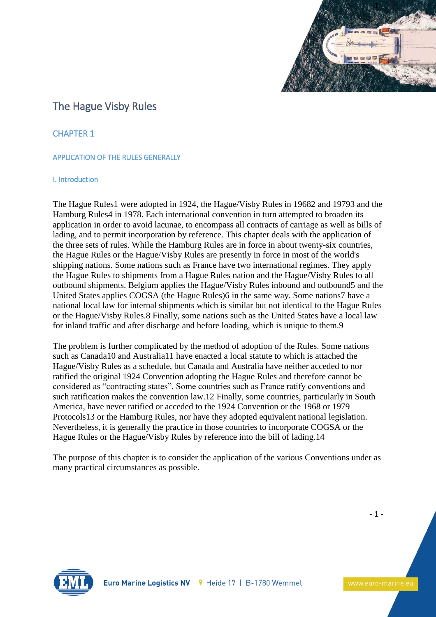

# The Hague Visby Rules

CHAPTER 1

## APPLICATION OF THE RULES GENERALLY

## I. Introduction

The Hague Rules1 were adopted in 1924, the Hague/Visby Rules in 19682 and 19793 and the Hamburg Rules4 in 1978. Each international convention in turn attempted to broaden its application in order to avoid lacunae, to encompass all contracts of carriage as well as bills of lading, and to permit incorporation by reference. This chapter deals with the application of the three sets of rules. While the Hamburg Rules are in force in about twenty-six countries, the Hague Rules or the Hague/Visby Rules are presently in force in most of the world's shipping nations. Some nations such as France have two international regimes. They apply the Hague Rules to shipments from a Hague Rules nation and the Hague/Visby Rules to all outbound shipments. Belgium applies the Hague/Visby Rules inbound and outbound5 and the United States applies COGSA (the Hague Rules)6 in the same way. Some nations7 have a national local law for internal shipments which is similar but not identical to the Hague Rules or the Hague/Visby Rules.8 Finally, some nations such as the United States have a local law for inland traffic and after discharge and before loading, which is unique to them.9

The problem is further complicated by the method of adoption of the Rules. Some nations such as Canada10 and Australia11 have enacted a local statute to which is attached the Hague/Visby Rules as a schedule, but Canada and Australia have neither acceded to nor ratified the original 1924 Convention adopting the Hague Rules and therefore cannot be considered as "contracting states". Some countries such as France ratify conventions and such ratification makes the convention law.12 Finally, some countries, particularly in South America, have never ratified or acceded to the 1924 Convention or the 1968 or 1979 Protocols13 or the Hamburg Rules, nor have they adopted equivalent national legislation. Nevertheless, it is generally the practice in those countries to incorporate COGSA or the Hague Rules or the Hague/Visby Rules by reference into the bill of lading.14

The purpose of this chapter is to consider the application of the various Conventions under as many practical circumstances as possible.

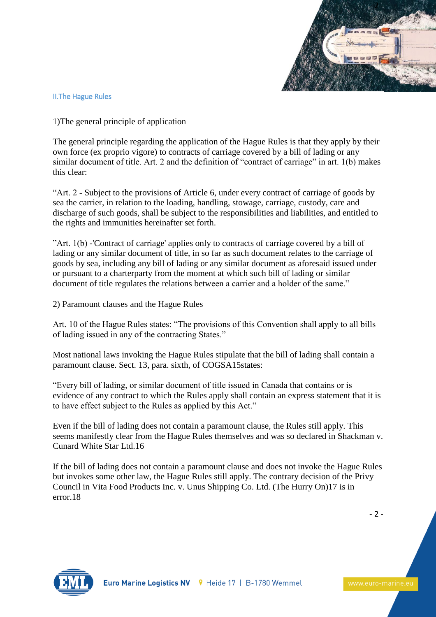

## II.The Hague Rules

1)The general principle of application

The general principle regarding the application of the Hague Rules is that they apply by their own force (ex proprio vigore) to contracts of carriage covered by a bill of lading or any similar document of title. Art. 2 and the definition of "contract of carriage" in art. 1(b) makes this clear:

"Art. 2 - Subject to the provisions of Article 6, under every contract of carriage of goods by sea the carrier, in relation to the loading, handling, stowage, carriage, custody, care and discharge of such goods, shall be subject to the responsibilities and liabilities, and entitled to the rights and immunities hereinafter set forth.

"Art. 1(b) -'Contract of carriage' applies only to contracts of carriage covered by a bill of lading or any similar document of title, in so far as such document relates to the carriage of goods by sea, including any bill of lading or any similar document as aforesaid issued under or pursuant to a charterparty from the moment at which such bill of lading or similar document of title regulates the relations between a carrier and a holder of the same."

2) Paramount clauses and the Hague Rules

Art. 10 of the Hague Rules states: "The provisions of this Convention shall apply to all bills of lading issued in any of the contracting States."

Most national laws invoking the Hague Rules stipulate that the bill of lading shall contain a paramount clause. Sect. 13, para. sixth, of COGSA15states:

"Every bill of lading, or similar document of title issued in Canada that contains or is evidence of any contract to which the Rules apply shall contain an express statement that it is to have effect subject to the Rules as applied by this Act."

Even if the bill of lading does not contain a paramount clause, the Rules still apply. This seems manifestly clear from the Hague Rules themselves and was so declared in Shackman v. Cunard White Star Ltd.16

If the bill of lading does not contain a paramount clause and does not invoke the Hague Rules but invokes some other law, the Hague Rules still apply. The contrary decision of the Privy Council in Vita Food Products Inc. v. Unus Shipping Co. Ltd. (The Hurry On)17 is in error.18

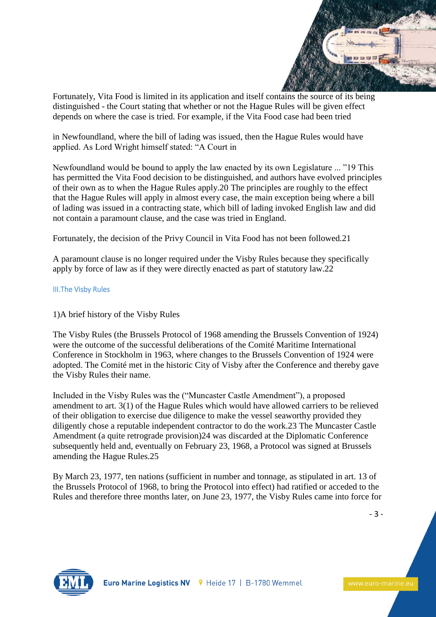

Fortunately, Vita Food is limited in its application and itself contains the source of its being distinguished - the Court stating that whether or not the Hague Rules will be given effect depends on where the case is tried. For example, if the Vita Food case had been tried

in Newfoundland, where the bill of lading was issued, then the Hague Rules would have applied. As Lord Wright himself stated: "A Court in

Newfoundland would be bound to apply the law enacted by its own Legislature ... "19 This has permitted the Vita Food decision to be distinguished, and authors have evolved principles of their own as to when the Hague Rules apply.20 The principles are roughly to the effect that the Hague Rules will apply in almost every case, the main exception being where a bill of lading was issued in a contracting state, which bill of lading invoked English law and did not contain a paramount clause, and the case was tried in England.

Fortunately, the decision of the Privy Council in Vita Food has not been followed.21

A paramount clause is no longer required under the Visby Rules because they specifically apply by force of law as if they were directly enacted as part of statutory law.22

## III.The Visby Rules

1)A brief history of the Visby Rules

The Visby Rules (the Brussels Protocol of 1968 amending the Brussels Convention of 1924) were the outcome of the successful deliberations of the Comité Maritime International Conference in Stockholm in 1963, where changes to the Brussels Convention of 1924 were adopted. The Comité met in the historic City of Visby after the Conference and thereby gave the Visby Rules their name.

Included in the Visby Rules was the ("Muncaster Castle Amendment"), a proposed amendment to art. 3(1) of the Hague Rules which would have allowed carriers to be relieved of their obligation to exercise due diligence to make the vessel seaworthy provided they diligently chose a reputable independent contractor to do the work.23 The Muncaster Castle Amendment (a quite retrograde provision)24 was discarded at the Diplomatic Conference subsequently held and, eventually on February 23, 1968, a Protocol was signed at Brussels amending the Hague Rules.25

By March 23, 1977, ten nations (sufficient in number and tonnage, as stipulated in art. 13 of the Brussels Protocol of 1968, to bring the Protocol into effect) had ratified or acceded to the Rules and therefore three months later, on June 23, 1977, the Visby Rules came into force for

- 3 -

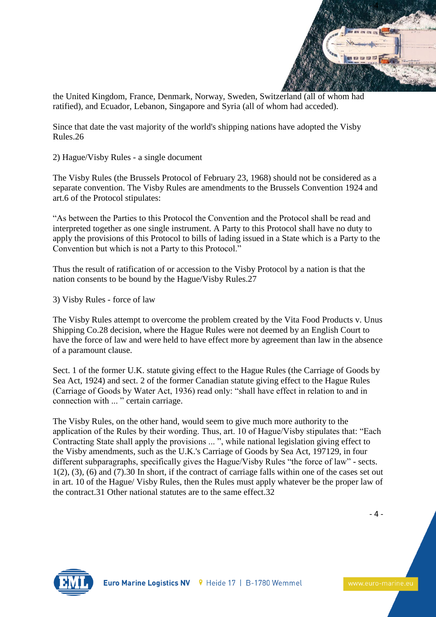

the United Kingdom, France, Denmark, Norway, Sweden, Switzerland (all of whom had ratified), and Ecuador, Lebanon, Singapore and Syria (all of whom had acceded).

Since that date the vast majority of the world's shipping nations have adopted the Visby Rules.26

2) Hague/Visby Rules - a single document

The Visby Rules (the Brussels Protocol of February 23, 1968) should not be considered as a separate convention. The Visby Rules are amendments to the Brussels Convention 1924 and art.6 of the Protocol stipulates:

"As between the Parties to this Protocol the Convention and the Protocol shall be read and interpreted together as one single instrument. A Party to this Protocol shall have no duty to apply the provisions of this Protocol to bills of lading issued in a State which is a Party to the Convention but which is not a Party to this Protocol."

Thus the result of ratification of or accession to the Visby Protocol by a nation is that the nation consents to be bound by the Hague/Visby Rules.27

3) Visby Rules - force of law

The Visby Rules attempt to overcome the problem created by the Vita Food Products v. Unus Shipping Co.28 decision, where the Hague Rules were not deemed by an English Court to have the force of law and were held to have effect more by agreement than law in the absence of a paramount clause.

Sect. 1 of the former U.K. statute giving effect to the Hague Rules (the Carriage of Goods by Sea Act, 1924) and sect. 2 of the former Canadian statute giving effect to the Hague Rules (Carriage of Goods by Water Act, 1936) read only: "shall have effect in relation to and in connection with ... " certain carriage.

The Visby Rules, on the other hand, would seem to give much more authority to the application of the Rules by their wording. Thus, art. 10 of Hague/Visby stipulates that: "Each Contracting State shall apply the provisions ... ", while national legislation giving effect to the Visby amendments, such as the U.K.'s Carriage of Goods by Sea Act, 197129, in four different subparagraphs, specifically gives the Hague/Visby Rules "the force of law" - sects. 1(2), (3), (6) and (7).30 In short, if the contract of carriage falls within one of the cases set out in art. 10 of the Hague/ Visby Rules, then the Rules must apply whatever be the proper law of the contract.31 Other national statutes are to the same effect.32

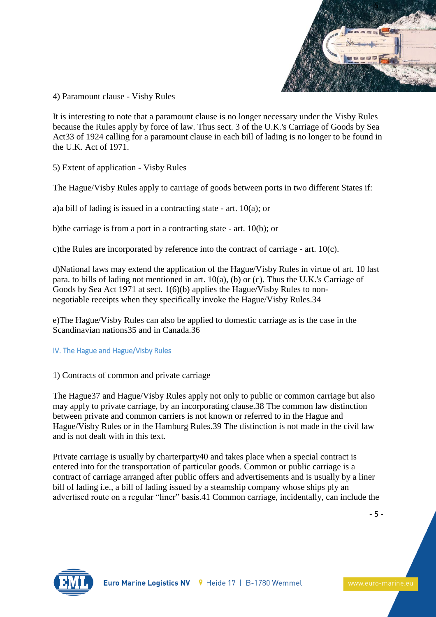

4) Paramount clause - Visby Rules

It is interesting to note that a paramount clause is no longer necessary under the Visby Rules because the Rules apply by force of law. Thus sect. 3 of the U.K.'s Carriage of Goods by Sea Act33 of 1924 calling for a paramount clause in each bill of lading is no longer to be found in the U.K. Act of 1971.

5) Extent of application - Visby Rules

The Hague/Visby Rules apply to carriage of goods between ports in two different States if:

a)a bill of lading is issued in a contracting state - art. 10(a); or

b)the carriage is from a port in a contracting state - art. 10(b); or

c)the Rules are incorporated by reference into the contract of carriage - art. 10(c).

d)National laws may extend the application of the Hague/Visby Rules in virtue of art. 10 last para. to bills of lading not mentioned in art. 10(a), (b) or (c). Thus the U.K.'s Carriage of Goods by Sea Act 1971 at sect. 1(6)(b) applies the Hague/Visby Rules to nonnegotiable receipts when they specifically invoke the Hague/Visby Rules.34

e)The Hague/Visby Rules can also be applied to domestic carriage as is the case in the Scandinavian nations35 and in Canada.36

## IV. The Hague and Hague/Visby Rules

1) Contracts of common and private carriage

The Hague<sup>37</sup> and Hague/Visby Rules apply not only to public or common carriage but also may apply to private carriage, by an incorporating clause.38 The common law distinction between private and common carriers is not known or referred to in the Hague and Hague/Visby Rules or in the Hamburg Rules.39 The distinction is not made in the civil law and is not dealt with in this text.

Private carriage is usually by charterparty40 and takes place when a special contract is entered into for the transportation of particular goods. Common or public carriage is a contract of carriage arranged after public offers and advertisements and is usually by a liner bill of lading i.e., a bill of lading issued by a steamship company whose ships ply an advertised route on a regular "liner" basis.41 Common carriage, incidentally, can include the

- 5 -

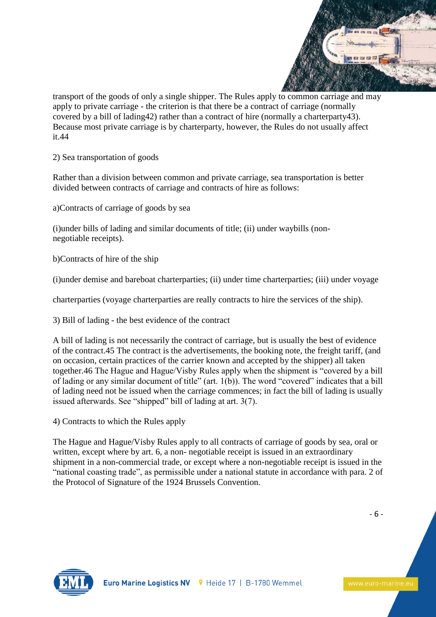

transport of the goods of only a single shipper. The Rules apply to common carriage and may apply to private carriage - the criterion is that there be a contract of carriage (normally covered by a bill of lading42) rather than a contract of hire (normally a charterparty43). Because most private carriage is by charterparty, however, the Rules do not usually affect it.44

2) Sea transportation of goods

Rather than a division between common and private carriage, sea transportation is better divided between contracts of carriage and contracts of hire as follows:

a)Contracts of carriage of goods by sea

(i)under bills of lading and similar documents of title; (ii) under waybills (nonnegotiable receipts).

b)Contracts of hire of the ship

(i)under demise and bareboat charterparties; (ii) under time charterparties; (iii) under voyage

charterparties (voyage charterparties are really contracts to hire the services of the ship).

3) Bill of lading - the best evidence of the contract

A bill of lading is not necessarily the contract of carriage, but is usually the best of evidence of the contract.45 The contract is the advertisements, the booking note, the freight tariff, (and on occasion, certain practices of the carrier known and accepted by the shipper) all taken together.46 The Hague and Hague/Visby Rules apply when the shipment is "covered by a bill of lading or any similar document of title" (art. 1(b)). The word "covered" indicates that a bill of lading need not be issued when the carriage commences; in fact the bill of lading is usually issued afterwards. See "shipped" bill of lading at art. 3(7).

4) Contracts to which the Rules apply

The Hague and Hague/Visby Rules apply to all contracts of carriage of goods by sea, oral or written, except where by art. 6, a non- negotiable receipt is issued in an extraordinary shipment in a non-commercial trade, or except where a non-negotiable receipt is issued in the "national coasting trade", as permissible under a national statute in accordance with para. 2 of the Protocol of Signature of the 1924 Brussels Convention.



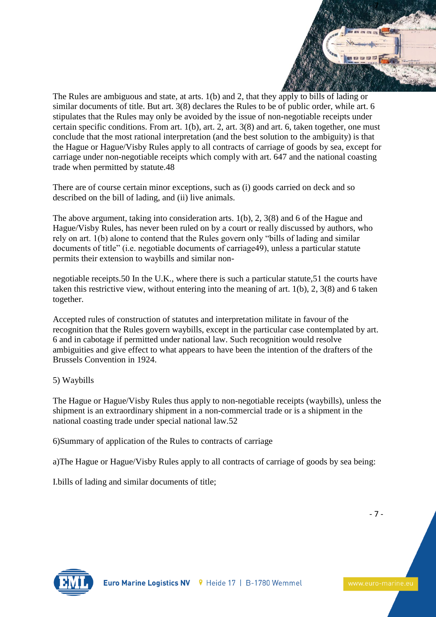

The Rules are ambiguous and state, at arts. 1(b) and 2, that they apply to bills of lading or similar documents of title. But art. 3(8) declares the Rules to be of public order, while art. 6 stipulates that the Rules may only be avoided by the issue of non-negotiable receipts under certain specific conditions. From art. 1(b), art. 2, art. 3(8) and art. 6, taken together, one must conclude that the most rational interpretation (and the best solution to the ambiguity) is that the Hague or Hague/Visby Rules apply to all contracts of carriage of goods by sea, except for carriage under non-negotiable receipts which comply with art. 647 and the national coasting trade when permitted by statute.48

There are of course certain minor exceptions, such as (i) goods carried on deck and so described on the bill of lading, and (ii) live animals.

The above argument, taking into consideration arts. 1(b), 2, 3(8) and 6 of the Hague and Hague/Visby Rules, has never been ruled on by a court or really discussed by authors, who rely on art. 1(b) alone to contend that the Rules govern only "bills of lading and similar documents of title" (i.e. negotiable documents of carriage49), unless a particular statute permits their extension to waybills and similar non-

negotiable receipts.50 In the U.K., where there is such a particular statute,51 the courts have taken this restrictive view, without entering into the meaning of art. 1(b), 2, 3(8) and 6 taken together.

Accepted rules of construction of statutes and interpretation militate in favour of the recognition that the Rules govern waybills, except in the particular case contemplated by art. 6 and in cabotage if permitted under national law. Such recognition would resolve ambiguities and give effect to what appears to have been the intention of the drafters of the Brussels Convention in 1924.

## 5) Waybills

The Hague or Hague/Visby Rules thus apply to non-negotiable receipts (waybills), unless the shipment is an extraordinary shipment in a non-commercial trade or is a shipment in the national coasting trade under special national law.52

6)Summary of application of the Rules to contracts of carriage

a)The Hague or Hague/Visby Rules apply to all contracts of carriage of goods by sea being:

I.bills of lading and similar documents of title;



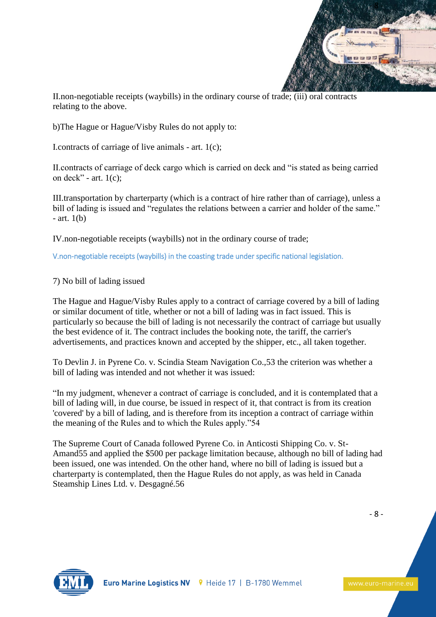

II.non-negotiable receipts (waybills) in the ordinary course of trade; (iii) oral contracts relating to the above.

b)The Hague or Hague/Visby Rules do not apply to:

I.contracts of carriage of live animals - art. 1(c);

II.contracts of carriage of deck cargo which is carried on deck and "is stated as being carried on deck" - art.  $1(c)$ ;

III.transportation by charterparty (which is a contract of hire rather than of carriage), unless a bill of lading is issued and "regulates the relations between a carrier and holder of the same."  $-$  art. 1(b)

IV.non-negotiable receipts (waybills) not in the ordinary course of trade;

V.non-negotiable receipts (waybills) in the coasting trade under specific national legislation.

## 7) No bill of lading issued

The Hague and Hague/Visby Rules apply to a contract of carriage covered by a bill of lading or similar document of title, whether or not a bill of lading was in fact issued. This is particularly so because the bill of lading is not necessarily the contract of carriage but usually the best evidence of it. The contract includes the booking note, the tariff, the carrier's advertisements, and practices known and accepted by the shipper, etc., all taken together.

To Devlin J. in Pyrene Co. v. Scindia Steam Navigation Co.,53 the criterion was whether a bill of lading was intended and not whether it was issued:

"In my judgment, whenever a contract of carriage is concluded, and it is contemplated that a bill of lading will, in due course, be issued in respect of it, that contract is from its creation 'covered' by a bill of lading, and is therefore from its inception a contract of carriage within the meaning of the Rules and to which the Rules apply."54

The Supreme Court of Canada followed Pyrene Co. in Anticosti Shipping Co. v. St-Amand55 and applied the \$500 per package limitation because, although no bill of lading had been issued, one was intended. On the other hand, where no bill of lading is issued but a charterparty is contemplated, then the Hague Rules do not apply, as was held in Canada Steamship Lines Ltd. v. Desgagné.56

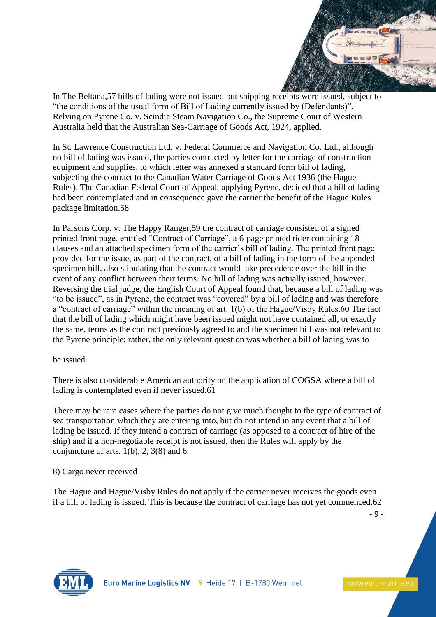

In The Beltana,57 bills of lading were not issued but shipping receipts were issued, subject to "the conditions of the usual form of Bill of Lading currently issued by (Defendants)". Relying on Pyrene Co. v. Scindia Steam Navigation Co., the Supreme Court of Western Australia held that the Australian Sea-Carriage of Goods Act, 1924, applied.

In St. Lawrence Construction Ltd. v. Federal Commerce and Navigation Co. Ltd., although no bill of lading was issued, the parties contracted by letter for the carriage of construction equipment and supplies, to which letter was annexed a standard form bill of lading, subjecting the contract to the Canadian Water Carriage of Goods Act 1936 (the Hague Rules). The Canadian Federal Court of Appeal, applying Pyrene, decided that a bill of lading had been contemplated and in consequence gave the carrier the benefit of the Hague Rules package limitation.58

In Parsons Corp. v. The Happy Ranger,59 the contract of carriage consisted of a signed printed front page, entitled "Contract of Carriage", a 6-page printed rider containing 18 clauses and an attached specimen form of the carrier's bill of lading. The printed front page provided for the issue, as part of the contract, of a bill of lading in the form of the appended specimen bill, also stipulating that the contract would take precedence over the bill in the event of any conflict between their terms. No bill of lading was actually issued, however. Reversing the trial judge, the English Court of Appeal found that, because a bill of lading was "to be issued", as in Pyrene, the contract was "covered" by a bill of lading and was therefore a "contract of carriage" within the meaning of art. 1(b) of the Hague/Visby Rules.60 The fact that the bill of lading which might have been issued might not have contained all, or exactly the same, terms as the contract previously agreed to and the specimen bill was not relevant to the Pyrene principle; rather, the only relevant question was whether a bill of lading was to

be issued.

There is also considerable American authority on the application of COGSA where a bill of lading is contemplated even if never issued.61

There may be rare cases where the parties do not give much thought to the type of contract of sea transportation which they are entering into, but do not intend in any event that a bill of lading be issued. If they intend a contract of carriage (as opposed to a contract of hire of the ship) and if a non-negotiable receipt is not issued, then the Rules will apply by the conjuncture of arts.  $1(b)$ ,  $2$ ,  $3(8)$  and 6.

8) Cargo never received

The Hague and Hague/Visby Rules do not apply if the carrier never receives the goods even if a bill of lading is issued. This is because the contract of carriage has not yet commenced.62

- 9 -

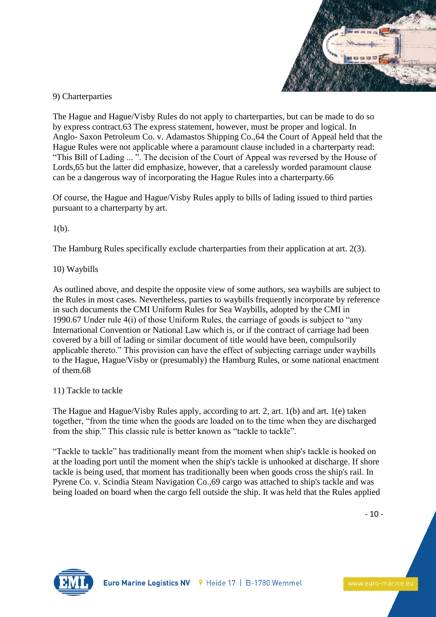

# 9) Charterparties

The Hague and Hague/Visby Rules do not apply to charterparties, but can be made to do so by express contract.63 The express statement, however, must be proper and logical. In Anglo- Saxon Petroleum Co. v. Adamastos Shipping Co.,64 the Court of Appeal held that the Hague Rules were not applicable where a paramount clause included in a charterparty read: "This Bill of Lading ... ". The decision of the Court of Appeal was reversed by the House of Lords,65 but the latter did emphasize, however, that a carelessly worded paramount clause can be a dangerous way of incorporating the Hague Rules into a charterparty.66

Of course, the Hague and Hague/Visby Rules apply to bills of lading issued to third parties pursuant to a charterparty by art.

## 1(b).

The Hamburg Rules specifically exclude charterparties from their application at art. 2(3).

## 10) Waybills

As outlined above, and despite the opposite view of some authors, sea waybills are subject to the Rules in most cases. Nevertheless, parties to waybills frequently incorporate by reference in such documents the CMI Uniform Rules for Sea Waybills, adopted by the CMI in 1990.67 Under rule 4(i) of those Uniform Rules, the carriage of goods is subject to "any International Convention or National Law which is, or if the contract of carriage had been covered by a bill of lading or similar document of title would have been, compulsorily applicable thereto." This provision can have the effect of subjecting carriage under waybills to the Hague, Hague/Visby or (presumably) the Hamburg Rules, or some national enactment of them.68

## 11) Tackle to tackle

The Hague and Hague/Visby Rules apply, according to art. 2, art. 1(b) and art. 1(e) taken together, "from the time when the goods are loaded on to the time when they are discharged from the ship." This classic rule is better known as "tackle to tackle".

"Tackle to tackle" has traditionally meant from the moment when ship's tackle is hooked on at the loading port until the moment when the ship's tackle is unhooked at discharge. If shore tackle is being used, that moment has traditionally been when goods cross the ship's rail. In Pyrene Co. v. Scindia Steam Navigation Co.,69 cargo was attached to ship's tackle and was being loaded on board when the cargo fell outside the ship. It was held that the Rules applied

- 10 -

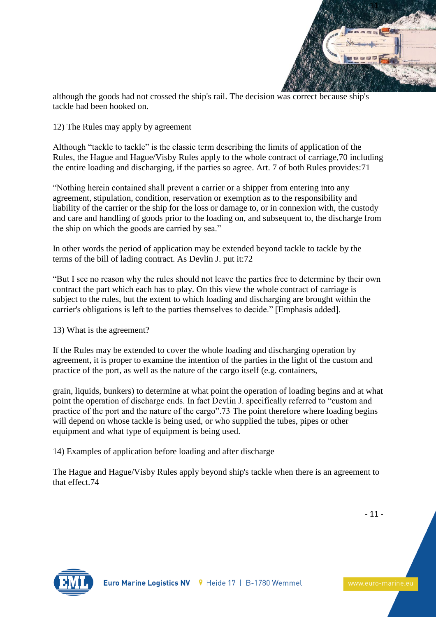

although the goods had not crossed the ship's rail. The decision was correct because ship's tackle had been hooked on.

12) The Rules may apply by agreement

Although "tackle to tackle" is the classic term describing the limits of application of the Rules, the Hague and Hague/Visby Rules apply to the whole contract of carriage,70 including the entire loading and discharging, if the parties so agree. Art. 7 of both Rules provides:71

"Nothing herein contained shall prevent a carrier or a shipper from entering into any agreement, stipulation, condition, reservation or exemption as to the responsibility and liability of the carrier or the ship for the loss or damage to, or in connexion with, the custody and care and handling of goods prior to the loading on, and subsequent to, the discharge from the ship on which the goods are carried by sea."

In other words the period of application may be extended beyond tackle to tackle by the terms of the bill of lading contract. As Devlin J. put it:72

"But I see no reason why the rules should not leave the parties free to determine by their own contract the part which each has to play. On this view the whole contract of carriage is subject to the rules, but the extent to which loading and discharging are brought within the carrier's obligations is left to the parties themselves to decide." [Emphasis added].

13) What is the agreement?

If the Rules may be extended to cover the whole loading and discharging operation by agreement, it is proper to examine the intention of the parties in the light of the custom and practice of the port, as well as the nature of the cargo itself (e.g. containers,

grain, liquids, bunkers) to determine at what point the operation of loading begins and at what point the operation of discharge ends. In fact Devlin J. specifically referred to "custom and practice of the port and the nature of the cargo".73 The point therefore where loading begins will depend on whose tackle is being used, or who supplied the tubes, pipes or other equipment and what type of equipment is being used.

14) Examples of application before loading and after discharge

The Hague and Hague/Visby Rules apply beyond ship's tackle when there is an agreement to that effect.74

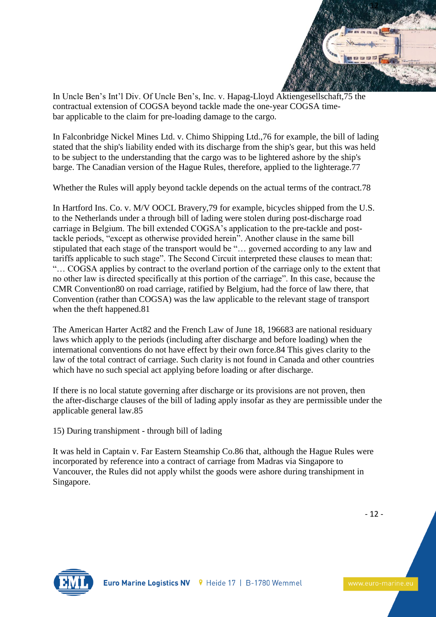

In Uncle Ben's Int'l Div. Of Uncle Ben's, Inc. v. Hapag-Lloyd Aktiengesellschaft,75 the contractual extension of COGSA beyond tackle made the one-year COGSA timebar applicable to the claim for pre-loading damage to the cargo.

In Falconbridge Nickel Mines Ltd. v. Chimo Shipping Ltd.,76 for example, the bill of lading stated that the ship's liability ended with its discharge from the ship's gear, but this was held to be subject to the understanding that the cargo was to be lightered ashore by the ship's barge. The Canadian version of the Hague Rules, therefore, applied to the lighterage.77

Whether the Rules will apply beyond tackle depends on the actual terms of the contract.78

In Hartford Ins. Co. v. M/V OOCL Bravery,79 for example, bicycles shipped from the U.S. to the Netherlands under a through bill of lading were stolen during post-discharge road carriage in Belgium. The bill extended COGSA's application to the pre-tackle and posttackle periods, "except as otherwise provided herein". Another clause in the same bill stipulated that each stage of the transport would be "… governed according to any law and tariffs applicable to such stage". The Second Circuit interpreted these clauses to mean that: "… COGSA applies by contract to the overland portion of the carriage only to the extent that no other law is directed specifically at this portion of the carriage". In this case, because the CMR Convention80 on road carriage, ratified by Belgium, had the force of law there, that Convention (rather than COGSA) was the law applicable to the relevant stage of transport when the theft happened.81

The American Harter Act82 and the French Law of June 18, 196683 are national residuary laws which apply to the periods (including after discharge and before loading) when the international conventions do not have effect by their own force.84 This gives clarity to the law of the total contract of carriage. Such clarity is not found in Canada and other countries which have no such special act applying before loading or after discharge.

If there is no local statute governing after discharge or its provisions are not proven, then the after-discharge clauses of the bill of lading apply insofar as they are permissible under the applicable general law.85

15) During transhipment - through bill of lading

It was held in Captain v. Far Eastern Steamship Co.86 that, although the Hague Rules were incorporated by reference into a contract of carriage from Madras via Singapore to Vancouver, the Rules did not apply whilst the goods were ashore during transhipment in Singapore.

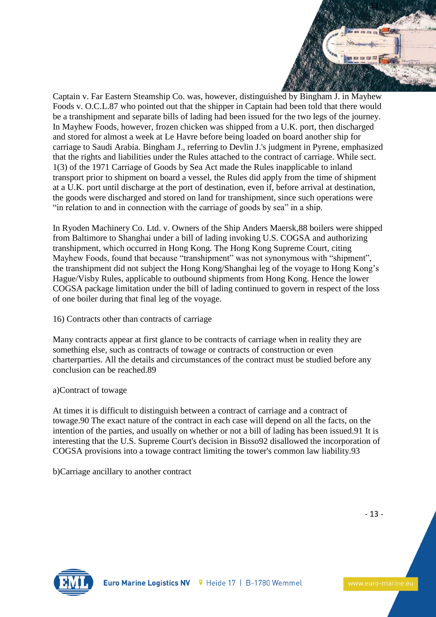

Captain v. Far Eastern Steamship Co. was, however, distinguished by Bingham J. in Mayhew Foods v. O.C.L.87 who pointed out that the shipper in Captain had been told that there would be a transhipment and separate bills of lading had been issued for the two legs of the journey. In Mayhew Foods, however, frozen chicken was shipped from a U.K. port, then discharged and stored for almost a week at Le Havre before being loaded on board another ship for carriage to Saudi Arabia. Bingham J., referring to Devlin J.'s judgment in Pyrene, emphasized that the rights and liabilities under the Rules attached to the contract of carriage. While sect. 1(3) of the 1971 Carriage of Goods by Sea Act made the Rules inapplicable to inland transport prior to shipment on board a vessel, the Rules did apply from the time of shipment at a U.K. port until discharge at the port of destination, even if, before arrival at destination, the goods were discharged and stored on land for transhipment, since such operations were "in relation to and in connection with the carriage of goods by sea" in a ship.

In Ryoden Machinery Co. Ltd. v. Owners of the Ship Anders Maersk,88 boilers were shipped from Baltimore to Shanghai under a bill of lading invoking U.S. COGSA and authorizing transhipment, which occurred in Hong Kong. The Hong Kong Supreme Court, citing Mayhew Foods, found that because "transhipment" was not synonymous with "shipment", the transhipment did not subject the Hong Kong/Shanghai leg of the voyage to Hong Kong's Hague/Visby Rules, applicable to outbound shipments from Hong Kong. Hence the lower COGSA package limitation under the bill of lading continued to govern in respect of the loss of one boiler during that final leg of the voyage.

# 16) Contracts other than contracts of carriage

Many contracts appear at first glance to be contracts of carriage when in reality they are something else, such as contracts of towage or contracts of construction or even charterparties. All the details and circumstances of the contract must be studied before any conclusion can be reached.89

# a)Contract of towage

At times it is difficult to distinguish between a contract of carriage and a contract of towage.90 The exact nature of the contract in each case will depend on all the facts, on the intention of the parties, and usually on whether or not a bill of lading has been issued.91 It is interesting that the U.S. Supreme Court's decision in Bisso92 disallowed the incorporation of COGSA provisions into a towage contract limiting the tower's common law liability.93

b)Carriage ancillary to another contract

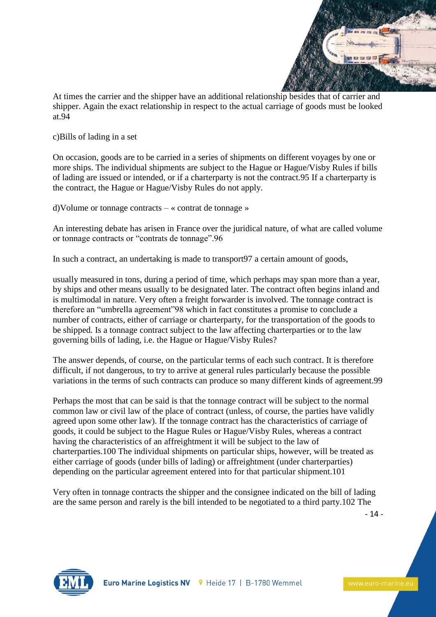

At times the carrier and the shipper have an additional relationship besides that of carrier and shipper. Again the exact relationship in respect to the actual carriage of goods must be looked at.94

c)Bills of lading in a set

On occasion, goods are to be carried in a series of shipments on different voyages by one or more ships. The individual shipments are subject to the Hague or Hague/Visby Rules if bills of lading are issued or intended, or if a charterparty is not the contract.95 If a charterparty is the contract, the Hague or Hague/Visby Rules do not apply.

d)Volume or tonnage contracts – « contrat de tonnage »

An interesting debate has arisen in France over the juridical nature, of what are called volume or tonnage contracts or "contrats de tonnage".96

In such a contract, an undertaking is made to transport97 a certain amount of goods,

usually measured in tons, during a period of time, which perhaps may span more than a year, by ships and other means usually to be designated later. The contract often begins inland and is multimodal in nature. Very often a freight forwarder is involved. The tonnage contract is therefore an "umbrella agreement"98 which in fact constitutes a promise to conclude a number of contracts, either of carriage or charterparty, for the transportation of the goods to be shipped. Is a tonnage contract subject to the law affecting charterparties or to the law governing bills of lading, i.e. the Hague or Hague/Visby Rules?

The answer depends, of course, on the particular terms of each such contract. It is therefore difficult, if not dangerous, to try to arrive at general rules particularly because the possible variations in the terms of such contracts can produce so many different kinds of agreement.99

Perhaps the most that can be said is that the tonnage contract will be subject to the normal common law or civil law of the place of contract (unless, of course, the parties have validly agreed upon some other law). If the tonnage contract has the characteristics of carriage of goods, it could be subject to the Hague Rules or Hague/Visby Rules, whereas a contract having the characteristics of an affreightment it will be subject to the law of charterparties.100 The individual shipments on particular ships, however, will be treated as either carriage of goods (under bills of lading) or affreightment (under charterparties) depending on the particular agreement entered into for that particular shipment.101

Very often in tonnage contracts the shipper and the consignee indicated on the bill of lading are the same person and rarely is the bill intended to be negotiated to a third party.102 The

- 14 -

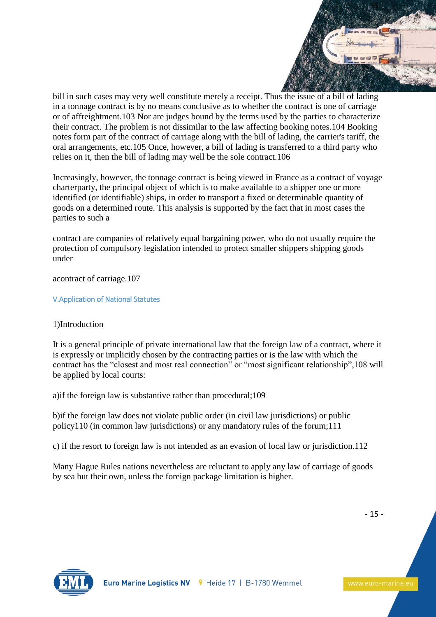

bill in such cases may very well constitute merely a receipt. Thus the issue of a bill of lading in a tonnage contract is by no means conclusive as to whether the contract is one of carriage or of affreightment.103 Nor are judges bound by the terms used by the parties to characterize their contract. The problem is not dissimilar to the law affecting booking notes.104 Booking notes form part of the contract of carriage along with the bill of lading, the carrier's tariff, the oral arrangements, etc.105 Once, however, a bill of lading is transferred to a third party who relies on it, then the bill of lading may well be the sole contract.106

Increasingly, however, the tonnage contract is being viewed in France as a contract of voyage charterparty, the principal object of which is to make available to a shipper one or more identified (or identifiable) ships, in order to transport a fixed or determinable quantity of goods on a determined route. This analysis is supported by the fact that in most cases the parties to such a

contract are companies of relatively equal bargaining power, who do not usually require the protection of compulsory legislation intended to protect smaller shippers shipping goods under

acontract of carriage.107

V.Application of National Statutes

## 1)Introduction

It is a general principle of private international law that the foreign law of a contract, where it is expressly or implicitly chosen by the contracting parties or is the law with which the contract has the "closest and most real connection" or "most significant relationship",108 will be applied by local courts:

a)if the foreign law is substantive rather than procedural;109

b)if the foreign law does not violate public order (in civil law jurisdictions) or public policy110 (in common law jurisdictions) or any mandatory rules of the forum;111

c) if the resort to foreign law is not intended as an evasion of local law or jurisdiction.112

Many Hague Rules nations nevertheless are reluctant to apply any law of carriage of goods by sea but their own, unless the foreign package limitation is higher.

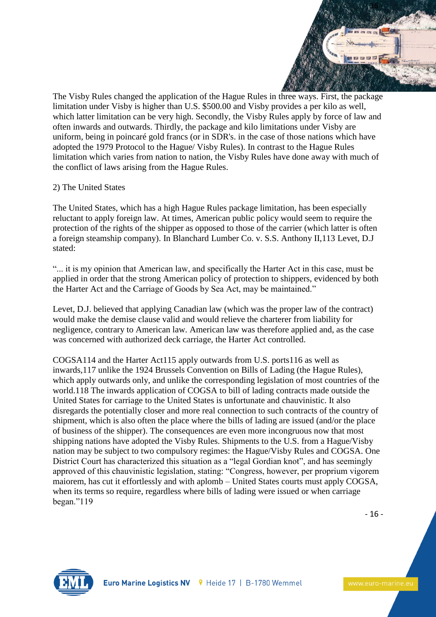

The Visby Rules changed the application of the Hague Rules in three ways. First, the package limitation under Visby is higher than U.S. \$500.00 and Visby provides a per kilo as well, which latter limitation can be very high. Secondly, the Visby Rules apply by force of law and often inwards and outwards. Thirdly, the package and kilo limitations under Visby are uniform, being in poincaré gold francs (or in SDR's. in the case of those nations which have adopted the 1979 Protocol to the Hague/ Visby Rules). In contrast to the Hague Rules limitation which varies from nation to nation, the Visby Rules have done away with much of the conflict of laws arising from the Hague Rules.

## 2) The United States

The United States, which has a high Hague Rules package limitation, has been especially reluctant to apply foreign law. At times, American public policy would seem to require the protection of the rights of the shipper as opposed to those of the carrier (which latter is often a foreign steamship company). In Blanchard Lumber Co. v. S.S. Anthony II,113 Levet, D.J stated:

"... it is my opinion that American law, and specifically the Harter Act in this case, must be applied in order that the strong American policy of protection to shippers, evidenced by both the Harter Act and the Carriage of Goods by Sea Act, may be maintained."

Levet, D.J. believed that applying Canadian law (which was the proper law of the contract) would make the demise clause valid and would relieve the charterer from liability for negligence, contrary to American law. American law was therefore applied and, as the case was concerned with authorized deck carriage, the Harter Act controlled.

COGSA114 and the Harter Act115 apply outwards from U.S. ports116 as well as inwards,117 unlike the 1924 Brussels Convention on Bills of Lading (the Hague Rules), which apply outwards only, and unlike the corresponding legislation of most countries of the world.118 The inwards application of COGSA to bill of lading contracts made outside the United States for carriage to the United States is unfortunate and chauvinistic. It also disregards the potentially closer and more real connection to such contracts of the country of shipment, which is also often the place where the bills of lading are issued (and/or the place of business of the shipper). The consequences are even more incongruous now that most shipping nations have adopted the Visby Rules. Shipments to the U.S. from a Hague/Visby nation may be subject to two compulsory regimes: the Hague/Visby Rules and COGSA. One District Court has characterized this situation as a "legal Gordian knot", and has seemingly approved of this chauvinistic legislation, stating: "Congress, however, per proprium vigorem maiorem, has cut it effortlessly and with aplomb – United States courts must apply COGSA, when its terms so require, regardless where bills of lading were issued or when carriage began."119

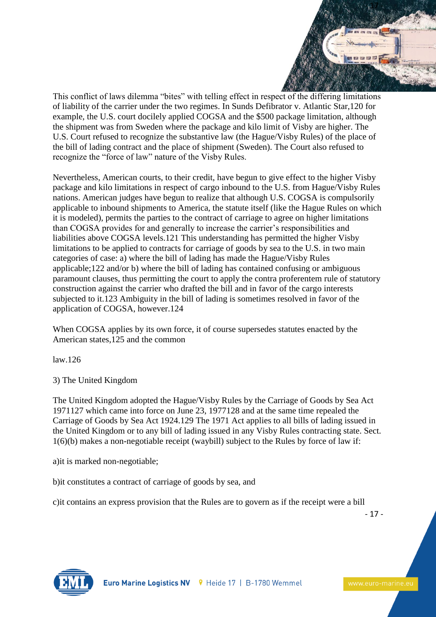

This conflict of laws dilemma "bites" with telling effect in respect of the differing limitations of liability of the carrier under the two regimes. In Sunds Defibrator v. Atlantic Star,120 for example, the U.S. court docilely applied COGSA and the \$500 package limitation, although the shipment was from Sweden where the package and kilo limit of Visby are higher. The U.S. Court refused to recognize the substantive law (the Hague/Visby Rules) of the place of the bill of lading contract and the place of shipment (Sweden). The Court also refused to recognize the "force of law" nature of the Visby Rules.

Nevertheless, American courts, to their credit, have begun to give effect to the higher Visby package and kilo limitations in respect of cargo inbound to the U.S. from Hague/Visby Rules nations. American judges have begun to realize that although U.S. COGSA is compulsorily applicable to inbound shipments to America, the statute itself (like the Hague Rules on which it is modeled), permits the parties to the contract of carriage to agree on higher limitations than COGSA provides for and generally to increase the carrier's responsibilities and liabilities above COGSA levels.121 This understanding has permitted the higher Visby limitations to be applied to contracts for carriage of goods by sea to the U.S. in two main categories of case: a) where the bill of lading has made the Hague/Visby Rules applicable;122 and/or b) where the bill of lading has contained confusing or ambiguous paramount clauses, thus permitting the court to apply the contra proferentem rule of statutory construction against the carrier who drafted the bill and in favor of the cargo interests subjected to it.123 Ambiguity in the bill of lading is sometimes resolved in favor of the application of COGSA, however.124

When COGSA applies by its own force, it of course supersedes statutes enacted by the American states,125 and the common

law.126

3) The United Kingdom

The United Kingdom adopted the Hague/Visby Rules by the Carriage of Goods by Sea Act 1971127 which came into force on June 23, 1977128 and at the same time repealed the Carriage of Goods by Sea Act 1924.129 The 1971 Act applies to all bills of lading issued in the United Kingdom or to any bill of lading issued in any Visby Rules contracting state. Sect. 1(6)(b) makes a non-negotiable receipt (waybill) subject to the Rules by force of law if:

a)it is marked non-negotiable;

b)it constitutes a contract of carriage of goods by sea, and

c)it contains an express provision that the Rules are to govern as if the receipt were a bill

- 17 -

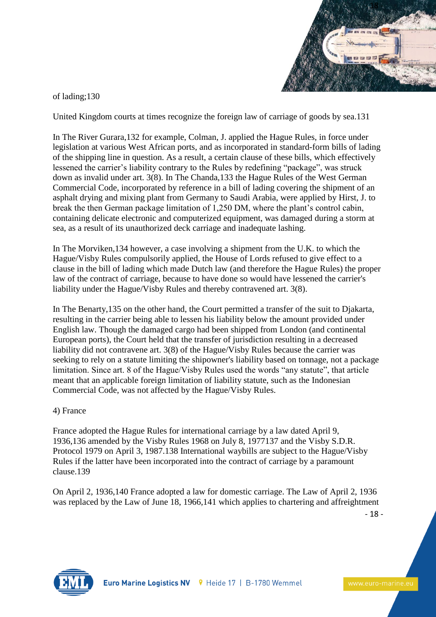

of lading;130

United Kingdom courts at times recognize the foreign law of carriage of goods by sea.131

In The River Gurara,132 for example, Colman, J. applied the Hague Rules, in force under legislation at various West African ports, and as incorporated in standard-form bills of lading of the shipping line in question. As a result, a certain clause of these bills, which effectively lessened the carrier's liability contrary to the Rules by redefining "package", was struck down as invalid under art. 3(8). In The Chanda,133 the Hague Rules of the West German Commercial Code, incorporated by reference in a bill of lading covering the shipment of an asphalt drying and mixing plant from Germany to Saudi Arabia, were applied by Hirst, J. to break the then German package limitation of 1,250 DM, where the plant's control cabin, containing delicate electronic and computerized equipment, was damaged during a storm at sea, as a result of its unauthorized deck carriage and inadequate lashing.

In The Morviken,134 however, a case involving a shipment from the U.K. to which the Hague/Visby Rules compulsorily applied, the House of Lords refused to give effect to a clause in the bill of lading which made Dutch law (and therefore the Hague Rules) the proper law of the contract of carriage, because to have done so would have lessened the carrier's liability under the Hague/Visby Rules and thereby contravened art. 3(8).

In The Benarty,135 on the other hand, the Court permitted a transfer of the suit to Djakarta, resulting in the carrier being able to lessen his liability below the amount provided under English law. Though the damaged cargo had been shipped from London (and continental European ports), the Court held that the transfer of jurisdiction resulting in a decreased liability did not contravene art. 3(8) of the Hague/Visby Rules because the carrier was seeking to rely on a statute limiting the shipowner's liability based on tonnage, not a package limitation. Since art. 8 of the Hague/Visby Rules used the words "any statute", that article meant that an applicable foreign limitation of liability statute, such as the Indonesian Commercial Code, was not affected by the Hague/Visby Rules.

# 4) France

France adopted the Hague Rules for international carriage by a law dated April 9, 1936,136 amended by the Visby Rules 1968 on July 8, 1977137 and the Visby S.D.R. Protocol 1979 on April 3, 1987.138 International waybills are subject to the Hague/Visby Rules if the latter have been incorporated into the contract of carriage by a paramount clause.139

On April 2, 1936,140 France adopted a law for domestic carriage. The Law of April 2, 1936 was replaced by the Law of June 18, 1966,141 which applies to chartering and affreightment

- 18 -

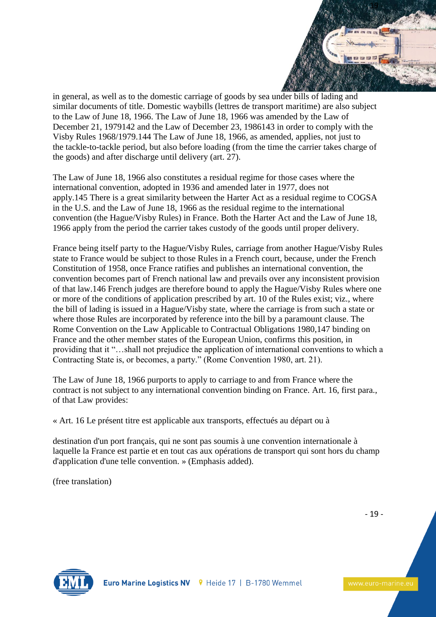

in general, as well as to the domestic carriage of goods by sea under bills of lading and similar documents of title. Domestic waybills (lettres de transport maritime) are also subject to the Law of June 18, 1966. The Law of June 18, 1966 was amended by the Law of December 21, 1979142 and the Law of December 23, 1986143 in order to comply with the Visby Rules 1968/1979.144 The Law of June 18, 1966, as amended, applies, not just to the tackle-to-tackle period, but also before loading (from the time the carrier takes charge of the goods) and after discharge until delivery (art. 27).

The Law of June 18, 1966 also constitutes a residual regime for those cases where the international convention, adopted in 1936 and amended later in 1977, does not apply.145 There is a great similarity between the Harter Act as a residual regime to COGSA in the U.S. and the Law of June 18, 1966 as the residual regime to the international convention (the Hague/Visby Rules) in France. Both the Harter Act and the Law of June 18, 1966 apply from the period the carrier takes custody of the goods until proper delivery.

France being itself party to the Hague/Visby Rules, carriage from another Hague/Visby Rules state to France would be subject to those Rules in a French court, because, under the French Constitution of 1958, once France ratifies and publishes an international convention, the convention becomes part of French national law and prevails over any inconsistent provision of that law.146 French judges are therefore bound to apply the Hague/Visby Rules where one or more of the conditions of application prescribed by art. 10 of the Rules exist; viz., where the bill of lading is issued in a Hague/Visby state, where the carriage is from such a state or where those Rules are incorporated by reference into the bill by a paramount clause. The Rome Convention on the Law Applicable to Contractual Obligations 1980,147 binding on France and the other member states of the European Union, confirms this position, in providing that it "…shall not prejudice the application of international conventions to which a Contracting State is, or becomes, a party." (Rome Convention 1980, art. 21).

The Law of June 18, 1966 purports to apply to carriage to and from France where the contract is not subject to any international convention binding on France. Art. 16, first para., of that Law provides:

« Art. 16 Le présent titre est applicable aux transports, effectués au départ ou à

destination d'un port français, qui ne sont pas soumis à une convention internationale à laquelle la France est partie et en tout cas aux opérations de transport qui sont hors du champ d'application d'une telle convention. » (Emphasis added).

(free translation)

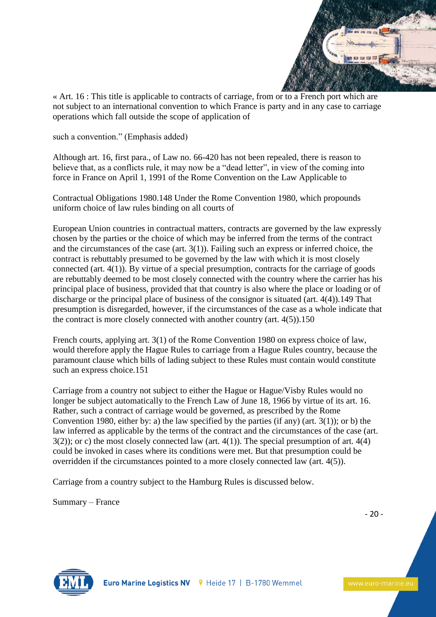

« Art. 16 : This title is applicable to contracts of carriage, from or to a French port which are not subject to an international convention to which France is party and in any case to carriage operations which fall outside the scope of application of

such a convention." (Emphasis added)

Although art. 16, first para., of Law no. 66-420 has not been repealed, there is reason to believe that, as a conflicts rule, it may now be a "dead letter", in view of the coming into force in France on April 1, 1991 of the Rome Convention on the Law Applicable to

Contractual Obligations 1980.148 Under the Rome Convention 1980, which propounds uniform choice of law rules binding on all courts of

European Union countries in contractual matters, contracts are governed by the law expressly chosen by the parties or the choice of which may be inferred from the terms of the contract and the circumstances of the case (art. 3(1)). Failing such an express or inferred choice, the contract is rebuttably presumed to be governed by the law with which it is most closely connected (art. 4(1)). By virtue of a special presumption, contracts for the carriage of goods are rebuttably deemed to be most closely connected with the country where the carrier has his principal place of business, provided that that country is also where the place or loading or of discharge or the principal place of business of the consignor is situated (art. 4(4)).149 That presumption is disregarded, however, if the circumstances of the case as a whole indicate that the contract is more closely connected with another country (art. 4(5)).150

French courts, applying art. 3(1) of the Rome Convention 1980 on express choice of law, would therefore apply the Hague Rules to carriage from a Hague Rules country, because the paramount clause which bills of lading subject to these Rules must contain would constitute such an express choice.151

Carriage from a country not subject to either the Hague or Hague/Visby Rules would no longer be subject automatically to the French Law of June 18, 1966 by virtue of its art. 16. Rather, such a contract of carriage would be governed, as prescribed by the Rome Convention 1980, either by: a) the law specified by the parties (if any) (art.  $3(1)$ ); or b) the law inferred as applicable by the terms of the contract and the circumstances of the case (art.  $3(2)$ ; or c) the most closely connected law (art. 4(1)). The special presumption of art. 4(4) could be invoked in cases where its conditions were met. But that presumption could be overridden if the circumstances pointed to a more closely connected law (art. 4(5)).

Carriage from a country subject to the Hamburg Rules is discussed below.

Summary – France

- 20 -

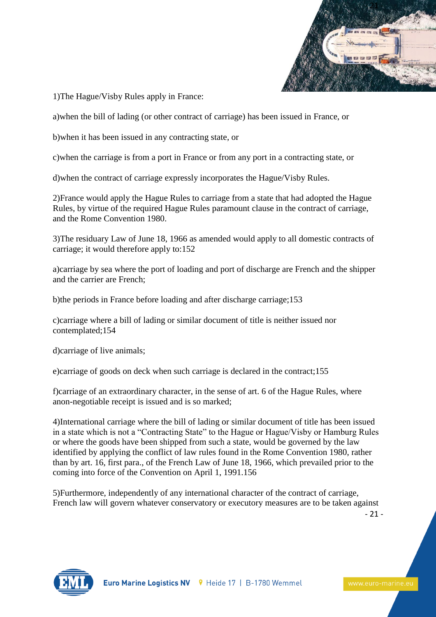

1)The Hague/Visby Rules apply in France:

a)when the bill of lading (or other contract of carriage) has been issued in France, or

b)when it has been issued in any contracting state, or

c)when the carriage is from a port in France or from any port in a contracting state, or

d)when the contract of carriage expressly incorporates the Hague/Visby Rules.

2)France would apply the Hague Rules to carriage from a state that had adopted the Hague Rules, by virtue of the required Hague Rules paramount clause in the contract of carriage, and the Rome Convention 1980.

3)The residuary Law of June 18, 1966 as amended would apply to all domestic contracts of carriage; it would therefore apply to:152

a)carriage by sea where the port of loading and port of discharge are French and the shipper and the carrier are French;

b)the periods in France before loading and after discharge carriage;153

c)carriage where a bill of lading or similar document of title is neither issued nor contemplated;154

d)carriage of live animals;

e)carriage of goods on deck when such carriage is declared in the contract;155

f)carriage of an extraordinary character, in the sense of art. 6 of the Hague Rules, where anon-negotiable receipt is issued and is so marked;

4)International carriage where the bill of lading or similar document of title has been issued in a state which is not a "Contracting State" to the Hague or Hague/Visby or Hamburg Rules or where the goods have been shipped from such a state, would be governed by the law identified by applying the conflict of law rules found in the Rome Convention 1980, rather than by art. 16, first para., of the French Law of June 18, 1966, which prevailed prior to the coming into force of the Convention on April 1, 1991.156

5)Furthermore, independently of any international character of the contract of carriage, French law will govern whatever conservatory or executory measures are to be taken against

- 21 -

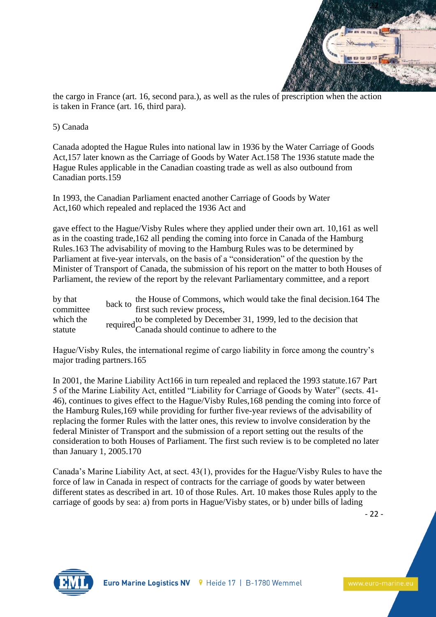

the cargo in France (art. 16, second para.), as well as the rules of prescription when the action is taken in France (art. 16, third para).

#### 5) Canada

Canada adopted the Hague Rules into national law in 1936 by the Water Carriage of Goods Act,157 later known as the Carriage of Goods by Water Act.158 The 1936 statute made the Hague Rules applicable in the Canadian coasting trade as well as also outbound from Canadian ports.159

In 1993, the Canadian Parliament enacted another Carriage of Goods by Water Act,160 which repealed and replaced the 1936 Act and

gave effect to the Hague/Visby Rules where they applied under their own art. 10,161 as well as in the coasting trade,162 all pending the coming into force in Canada of the Hamburg Rules.163 The advisability of moving to the Hamburg Rules was to be determined by Parliament at five-year intervals, on the basis of a "consideration" of the question by the Minister of Transport of Canada, the submission of his report on the matter to both Houses of Parliament, the review of the report by the relevant Parliamentary committee, and a report

by that by that back to the House of Commons, which would take the final decision.164 The committee back to first such review process, which the statute required to be completed by December 31, 1999, led to the decision that Canada should continue to adhere to the

Hague/Visby Rules, the international regime of cargo liability in force among the country's major trading partners.165

In 2001, the Marine Liability Act166 in turn repealed and replaced the 1993 statute.167 Part 5 of the Marine Liability Act, entitled "Liability for Carriage of Goods by Water" (sects. 41- 46), continues to gives effect to the Hague/Visby Rules,168 pending the coming into force of the Hamburg Rules,169 while providing for further five-year reviews of the advisability of replacing the former Rules with the latter ones, this review to involve consideration by the federal Minister of Transport and the submission of a report setting out the results of the consideration to both Houses of Parliament. The first such review is to be completed no later than January 1, 2005.170

Canada's Marine Liability Act, at sect. 43(1), provides for the Hague/Visby Rules to have the force of law in Canada in respect of contracts for the carriage of goods by water between different states as described in art. 10 of those Rules. Art. 10 makes those Rules apply to the carriage of goods by sea: a) from ports in Hague/Visby states, or b) under bills of lading

- 22 -

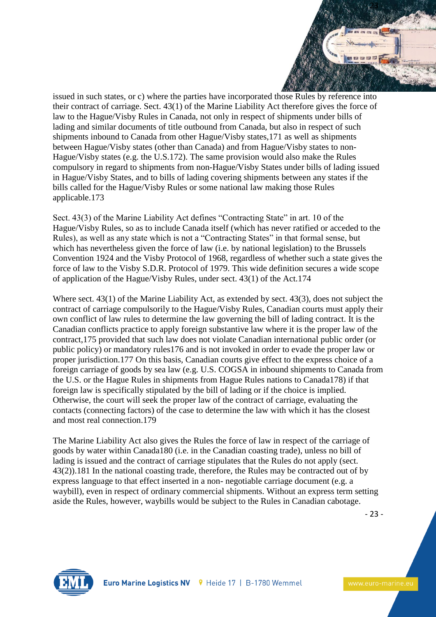

issued in such states, or c) where the parties have incorporated those Rules by reference into their contract of carriage. Sect. 43(1) of the Marine Liability Act therefore gives the force of law to the Hague/Visby Rules in Canada, not only in respect of shipments under bills of lading and similar documents of title outbound from Canada, but also in respect of such shipments inbound to Canada from other Hague/Visby states,171 as well as shipments between Hague/Visby states (other than Canada) and from Hague/Visby states to non-Hague/Visby states (e.g. the U.S.172). The same provision would also make the Rules compulsory in regard to shipments from non-Hague/Visby States under bills of lading issued in Hague/Visby States, and to bills of lading covering shipments between any states if the bills called for the Hague/Visby Rules or some national law making those Rules applicable.173

Sect. 43(3) of the Marine Liability Act defines "Contracting State" in art. 10 of the Hague/Visby Rules, so as to include Canada itself (which has never ratified or acceded to the Rules), as well as any state which is not a "Contracting States" in that formal sense, but which has nevertheless given the force of law (i.e. by national legislation) to the Brussels Convention 1924 and the Visby Protocol of 1968, regardless of whether such a state gives the force of law to the Visby S.D.R. Protocol of 1979. This wide definition secures a wide scope of application of the Hague/Visby Rules, under sect. 43(1) of the Act.174

Where sect. 43(1) of the Marine Liability Act, as extended by sect. 43(3), does not subject the contract of carriage compulsorily to the Hague/Visby Rules, Canadian courts must apply their own conflict of law rules to determine the law governing the bill of lading contract. It is the Canadian conflicts practice to apply foreign substantive law where it is the proper law of the contract,175 provided that such law does not violate Canadian international public order (or public policy) or mandatory rules176 and is not invoked in order to evade the proper law or proper jurisdiction.177 On this basis, Canadian courts give effect to the express choice of a foreign carriage of goods by sea law (e.g. U.S. COGSA in inbound shipments to Canada from the U.S. or the Hague Rules in shipments from Hague Rules nations to Canada178) if that foreign law is specifically stipulated by the bill of lading or if the choice is implied. Otherwise, the court will seek the proper law of the contract of carriage, evaluating the contacts (connecting factors) of the case to determine the law with which it has the closest and most real connection.179

The Marine Liability Act also gives the Rules the force of law in respect of the carriage of goods by water within Canada180 (i.e. in the Canadian coasting trade), unless no bill of lading is issued and the contract of carriage stipulates that the Rules do not apply (sect. 43(2)).181 In the national coasting trade, therefore, the Rules may be contracted out of by express language to that effect inserted in a non- negotiable carriage document (e.g. a waybill), even in respect of ordinary commercial shipments. Without an express term setting aside the Rules, however, waybills would be subject to the Rules in Canadian cabotage.

- 23 -

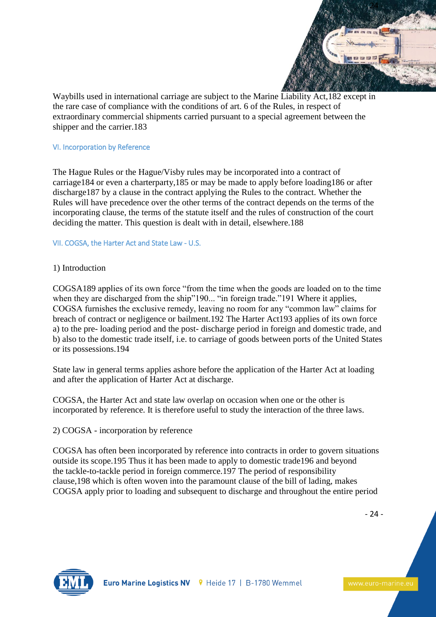

Waybills used in international carriage are subject to the Marine Liability Act,182 except in the rare case of compliance with the conditions of art. 6 of the Rules, in respect of extraordinary commercial shipments carried pursuant to a special agreement between the shipper and the carrier.183

## VI. Incorporation by Reference

The Hague Rules or the Hague/Visby rules may be incorporated into a contract of carriage184 or even a charterparty,185 or may be made to apply before loading186 or after discharge187 by a clause in the contract applying the Rules to the contract. Whether the Rules will have precedence over the other terms of the contract depends on the terms of the incorporating clause, the terms of the statute itself and the rules of construction of the court deciding the matter. This question is dealt with in detail, elsewhere.188

## VII. COGSA, the Harter Act and State Law - U.S.

## 1) Introduction

COGSA189 applies of its own force "from the time when the goods are loaded on to the time when they are discharged from the ship"190... "in foreign trade."191 Where it applies, COGSA furnishes the exclusive remedy, leaving no room for any "common law" claims for breach of contract or negligence or bailment.192 The Harter Act193 applies of its own force a) to the pre- loading period and the post- discharge period in foreign and domestic trade, and b) also to the domestic trade itself, i.e. to carriage of goods between ports of the United States or its possessions.194

State law in general terms applies ashore before the application of the Harter Act at loading and after the application of Harter Act at discharge.

COGSA, the Harter Act and state law overlap on occasion when one or the other is incorporated by reference. It is therefore useful to study the interaction of the three laws.

2) COGSA - incorporation by reference

COGSA has often been incorporated by reference into contracts in order to govern situations outside its scope.195 Thus it has been made to apply to domestic trade196 and beyond the tackle-to-tackle period in foreign commerce.197 The period of responsibility clause,198 which is often woven into the paramount clause of the bill of lading, makes COGSA apply prior to loading and subsequent to discharge and throughout the entire period

- 24 -

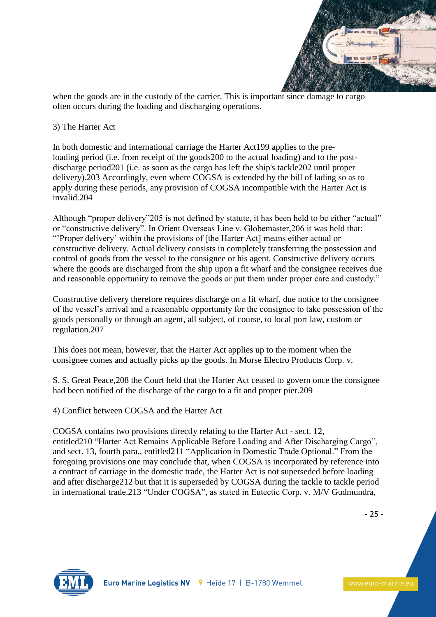

when the goods are in the custody of the carrier. This is important since damage to cargo often occurs during the loading and discharging operations.

## 3) The Harter Act

In both domestic and international carriage the Harter Act199 applies to the preloading period (i.e. from receipt of the goods200 to the actual loading) and to the postdischarge period201 (i.e. as soon as the cargo has left the ship's tackle202 until proper delivery).203 Accordingly, even where COGSA is extended by the bill of lading so as to apply during these periods, any provision of COGSA incompatible with the Harter Act is invalid.204

Although "proper delivery"205 is not defined by statute, it has been held to be either "actual" or "constructive delivery". In Orient Overseas Line v. Globemaster,206 it was held that: "'Proper delivery' within the provisions of [the Harter Act] means either actual or constructive delivery. Actual delivery consists in completely transferring the possession and control of goods from the vessel to the consignee or his agent. Constructive delivery occurs where the goods are discharged from the ship upon a fit wharf and the consignee receives due and reasonable opportunity to remove the goods or put them under proper care and custody."

Constructive delivery therefore requires discharge on a fit wharf, due notice to the consignee of the vessel's arrival and a reasonable opportunity for the consignee to take possession of the goods personally or through an agent, all subject, of course, to local port law, custom or regulation.207

This does not mean, however, that the Harter Act applies up to the moment when the consignee comes and actually picks up the goods. In Morse Electro Products Corp. v.

S. S. Great Peace,208 the Court held that the Harter Act ceased to govern once the consignee had been notified of the discharge of the cargo to a fit and proper pier.209

4) Conflict between COGSA and the Harter Act

COGSA contains two provisions directly relating to the Harter Act - sect. 12, entitled210 "Harter Act Remains Applicable Before Loading and After Discharging Cargo", and sect. 13, fourth para., entitled211 "Application in Domestic Trade Optional." From the foregoing provisions one may conclude that, when COGSA is incorporated by reference into a contract of carriage in the domestic trade, the Harter Act is not superseded before loading and after discharge212 but that it is superseded by COGSA during the tackle to tackle period in international trade.213 "Under COGSA", as stated in Eutectic Corp. v. M/V Gudmundra,

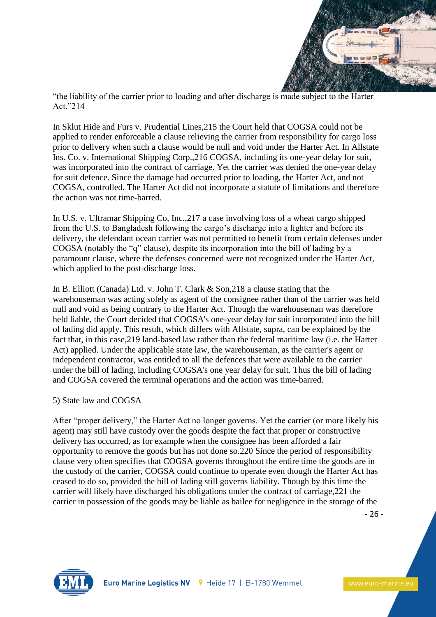

"the liability of the carrier prior to loading and after discharge is made subject to the Harter Act."214

In Sklut Hide and Furs v. Prudential Lines,215 the Court held that COGSA could not be applied to render enforceable a clause relieving the carrier from responsibility for cargo loss prior to delivery when such a clause would be null and void under the Harter Act. In Allstate Ins. Co. v. International Shipping Corp.,216 COGSA, including its one-year delay for suit, was incorporated into the contract of carriage. Yet the carrier was denied the one-year delay for suit defence. Since the damage had occurred prior to loading, the Harter Act, and not COGSA, controlled. The Harter Act did not incorporate a statute of limitations and therefore the action was not time-barred.

In U.S. v. Ultramar Shipping Co, Inc.,217 a case involving loss of a wheat cargo shipped from the U.S. to Bangladesh following the cargo's discharge into a lighter and before its delivery, the defendant ocean carrier was not permitted to benefit from certain defenses under COGSA (notably the "q" clause), despite its incorporation into the bill of lading by a paramount clause, where the defenses concerned were not recognized under the Harter Act, which applied to the post-discharge loss.

In B. Elliott (Canada) Ltd. v. John T. Clark & Son,218 a clause stating that the warehouseman was acting solely as agent of the consignee rather than of the carrier was held null and void as being contrary to the Harter Act. Though the warehouseman was therefore held liable, the Court decided that COGSA's one-year delay for suit incorporated into the bill of lading did apply. This result, which differs with Allstate, supra, can be explained by the fact that, in this case,219 land-based law rather than the federal maritime law (i.e. the Harter Act) applied. Under the applicable state law, the warehouseman, as the carrier's agent or independent contractor, was entitled to all the defences that were available to the carrier under the bill of lading, including COGSA's one year delay for suit. Thus the bill of lading and COGSA covered the terminal operations and the action was time-barred.

## 5) State law and COGSA

After "proper delivery," the Harter Act no longer governs. Yet the carrier (or more likely his agent) may still have custody over the goods despite the fact that proper or constructive delivery has occurred, as for example when the consignee has been afforded a fair opportunity to remove the goods but has not done so.220 Since the period of responsibility clause very often specifies that COGSA governs throughout the entire time the goods are in the custody of the carrier, COGSA could continue to operate even though the Harter Act has ceased to do so, provided the bill of lading still governs liability. Though by this time the carrier will likely have discharged his obligations under the contract of carriage,221 the carrier in possession of the goods may be liable as bailee for negligence in the storage of the

- 26 -

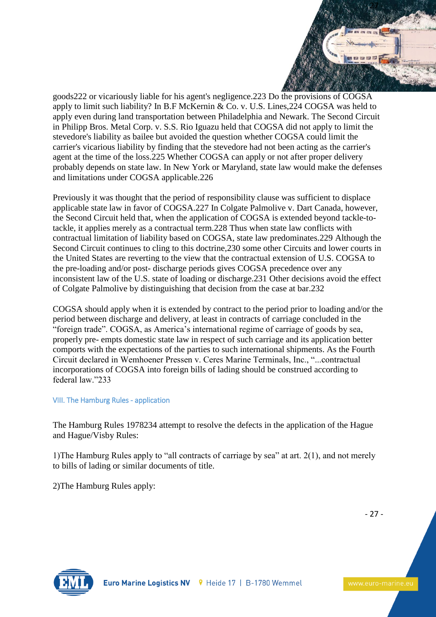

goods222 or vicariously liable for his agent's negligence.223 Do the provisions of COGSA apply to limit such liability? In B.F McKernin & Co. v. U.S. Lines,224 COGSA was held to apply even during land transportation between Philadelphia and Newark. The Second Circuit in Philipp Bros. Metal Corp. v. S.S. Rio Iguazu held that COGSA did not apply to limit the stevedore's liability as bailee but avoided the question whether COGSA could limit the carrier's vicarious liability by finding that the stevedore had not been acting as the carrier's agent at the time of the loss.225 Whether COGSA can apply or not after proper delivery probably depends on state law. In New York or Maryland, state law would make the defenses and limitations under COGSA applicable.226

Previously it was thought that the period of responsibility clause was sufficient to displace applicable state law in favor of COGSA.227 In Colgate Palmolive v. Dart Canada, however, the Second Circuit held that, when the application of COGSA is extended beyond tackle-totackle, it applies merely as a contractual term.228 Thus when state law conflicts with contractual limitation of liability based on COGSA, state law predominates.229 Although the Second Circuit continues to cling to this doctrine,230 some other Circuits and lower courts in the United States are reverting to the view that the contractual extension of U.S. COGSA to the pre-loading and/or post- discharge periods gives COGSA precedence over any inconsistent law of the U.S. state of loading or discharge.231 Other decisions avoid the effect of Colgate Palmolive by distinguishing that decision from the case at bar.232

COGSA should apply when it is extended by contract to the period prior to loading and/or the period between discharge and delivery, at least in contracts of carriage concluded in the "foreign trade". COGSA, as America's international regime of carriage of goods by sea, properly pre- empts domestic state law in respect of such carriage and its application better comports with the expectations of the parties to such international shipments. As the Fourth Circuit declared in Wemhoener Pressen v. Ceres Marine Terminals, Inc., "...contractual incorporations of COGSA into foreign bills of lading should be construed according to federal law."233

## VIII. The Hamburg Rules - application

The Hamburg Rules 1978234 attempt to resolve the defects in the application of the Hague and Hague/Visby Rules:

1)The Hamburg Rules apply to "all contracts of carriage by sea" at art. 2(1), and not merely to bills of lading or similar documents of title.

2)The Hamburg Rules apply:

- 27 -

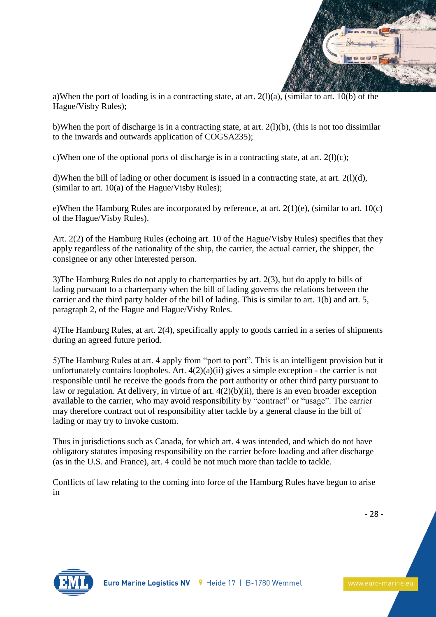

a)When the port of loading is in a contracting state, at art. 2(l)(a), (similar to art. 10(b) of the Hague/Visby Rules);

b)When the port of discharge is in a contracting state, at art.  $2(1)(b)$ , (this is not too dissimilar to the inwards and outwards application of COGSA235);

c)When one of the optional ports of discharge is in a contracting state, at art.  $2(1)(c)$ ;

d)When the bill of lading or other document is issued in a contracting state, at art. 2(l)(d), (similar to art. 10(a) of the Hague/Visby Rules);

e)When the Hamburg Rules are incorporated by reference, at art. 2(1)(e), (similar to art. 10(c) of the Hague/Visby Rules).

Art. 2(2) of the Hamburg Rules (echoing art. 10 of the Hague/Visby Rules) specifies that they apply regardless of the nationality of the ship, the carrier, the actual carrier, the shipper, the consignee or any other interested person.

3)The Hamburg Rules do not apply to charterparties by art. 2(3), but do apply to bills of lading pursuant to a charterparty when the bill of lading governs the relations between the carrier and the third party holder of the bill of lading. This is similar to art. 1(b) and art. 5, paragraph 2, of the Hague and Hague/Visby Rules.

4)The Hamburg Rules, at art. 2(4), specifically apply to goods carried in a series of shipments during an agreed future period.

5)The Hamburg Rules at art. 4 apply from "port to port". This is an intelligent provision but it unfortunately contains loopholes. Art. 4(2)(a)(ii) gives a simple exception - the carrier is not responsible until he receive the goods from the port authority or other third party pursuant to law or regulation. At delivery, in virtue of art. 4(2)(b)(ii), there is an even broader exception available to the carrier, who may avoid responsibility by "contract" or "usage". The carrier may therefore contract out of responsibility after tackle by a general clause in the bill of lading or may try to invoke custom.

Thus in jurisdictions such as Canada, for which art. 4 was intended, and which do not have obligatory statutes imposing responsibility on the carrier before loading and after discharge (as in the U.S. and France), art. 4 could be not much more than tackle to tackle.

Conflicts of law relating to the coming into force of the Hamburg Rules have begun to arise in

- 28 -

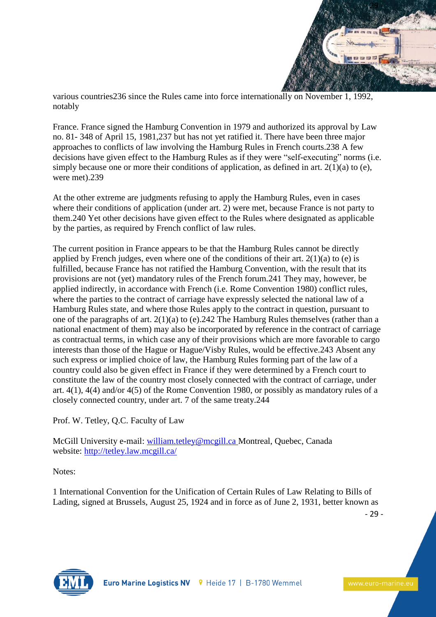

various countries236 since the Rules came into force internationally on November 1, 1992, notably

France. France signed the Hamburg Convention in 1979 and authorized its approval by Law no. 81- 348 of April 15, 1981,237 but has not yet ratified it. There have been three major approaches to conflicts of law involving the Hamburg Rules in French courts.238 A few decisions have given effect to the Hamburg Rules as if they were "self-executing" norms (i.e. simply because one or more their conditions of application, as defined in art.  $2(1)(a)$  to (e), were met).239

At the other extreme are judgments refusing to apply the Hamburg Rules, even in cases where their conditions of application (under art. 2) were met, because France is not party to them.240 Yet other decisions have given effect to the Rules where designated as applicable by the parties, as required by French conflict of law rules.

The current position in France appears to be that the Hamburg Rules cannot be directly applied by French judges, even where one of the conditions of their art.  $2(1)(a)$  to (e) is fulfilled, because France has not ratified the Hamburg Convention, with the result that its provisions are not (yet) mandatory rules of the French forum.241 They may, however, be applied indirectly, in accordance with French (i.e. Rome Convention 1980) conflict rules, where the parties to the contract of carriage have expressly selected the national law of a Hamburg Rules state, and where those Rules apply to the contract in question, pursuant to one of the paragraphs of art. 2(1)(a) to (e).242 The Hamburg Rules themselves (rather than a national enactment of them) may also be incorporated by reference in the contract of carriage as contractual terms, in which case any of their provisions which are more favorable to cargo interests than those of the Hague or Hague/Visby Rules, would be effective.243 Absent any such express or implied choice of law, the Hamburg Rules forming part of the law of a country could also be given effect in France if they were determined by a French court to constitute the law of the country most closely connected with the contract of carriage, under art. 4(1), 4(4) and/or 4(5) of the Rome Convention 1980, or possibly as mandatory rules of a closely connected country, under art. 7 of the same treaty.244

Prof. W. Tetley, Q.C. Faculty of Law

McGill University e-mail: [william.tetley@mcgill.ca](mailto:william.tetley@mcgill.ca) Montreal, Quebec, Canada website: <http://tetley.law.mcgill.ca/>

Notes:

1 International Convention for the Unification of Certain Rules of Law Relating to Bills of Lading, signed at Brussels, August 25, 1924 and in force as of June 2, 1931, better known as

- 29 -

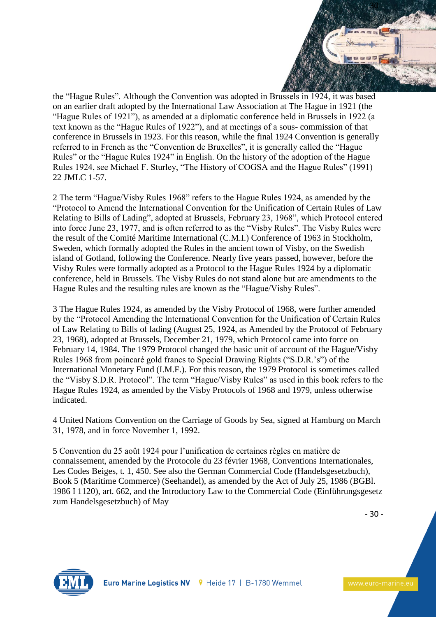

the "Hague Rules". Although the Convention was adopted in Brussels in 1924, it was based on an earlier draft adopted by the International Law Association at The Hague in 1921 (the "Hague Rules of 1921"), as amended at a diplomatic conference held in Brussels in 1922 (a text known as the "Hague Rules of 1922"), and at meetings of a sous- commission of that conference in Brussels in 1923. For this reason, while the final 1924 Convention is generally referred to in French as the "Convention de Bruxelles", it is generally called the "Hague Rules" or the "Hague Rules 1924" in English. On the history of the adoption of the Hague Rules 1924, see Michael F. Sturley, "The History of COGSA and the Hague Rules" (1991) 22 JMLC 1-57.

2 The term "Hague/Visby Rules 1968" refers to the Hague Rules 1924, as amended by the "Protocol to Amend the International Convention for the Unification of Certain Rules of Law Relating to Bills of Lading", adopted at Brussels, February 23, 1968", which Protocol entered into force June 23, 1977, and is often referred to as the "Visby Rules". The Visby Rules were the result of the Comité Maritime International (C.M.I.) Conference of 1963 in Stockholm, Sweden, which formally adopted the Rules in the ancient town of Visby, on the Swedish island of Gotland, following the Conference. Nearly five years passed, however, before the Visby Rules were formally adopted as a Protocol to the Hague Rules 1924 by a diplomatic conference, held in Brussels. The Visby Rules do not stand alone but are amendments to the Hague Rules and the resulting rules are known as the "Hague/Visby Rules".

3 The Hague Rules 1924, as amended by the Visby Protocol of 1968, were further amended by the "Protocol Amending the International Convention for the Unification of Certain Rules of Law Relating to Bills of lading (August 25, 1924, as Amended by the Protocol of February 23, 1968), adopted at Brussels, December 21, 1979, which Protocol came into force on February 14, 1984. The 1979 Protocol changed the basic unit of account of the Hague/Visby Rules 1968 from poincaré gold francs to Special Drawing Rights ("S.D.R.'s") of the International Monetary Fund (I.M.F.). For this reason, the 1979 Protocol is sometimes called the "Visby S.D.R. Protocol". The term "Hague/Visby Rules" as used in this book refers to the Hague Rules 1924, as amended by the Visby Protocols of 1968 and 1979, unless otherwise indicated.

4 United Nations Convention on the Carriage of Goods by Sea, signed at Hamburg on March 31, 1978, and in force November 1, 1992.

5 Convention du 25 août 1924 pour l'unification de certaines règles en matière de connaissement, amended by the Protocole du 23 février 1968, Conventions Internationales, Les Codes Beiges, t. 1, 450. See also the German Commercial Code (Handelsgesetzbuch), Book 5 (Maritime Commerce) (Seehandel), as amended by the Act of July 25, 1986 (BGBl. 1986 I 1120), art. 662, and the Introductory Law to the Commercial Code (Einführungsgesetz zum Handelsgesetzbuch) of May

- 30 -

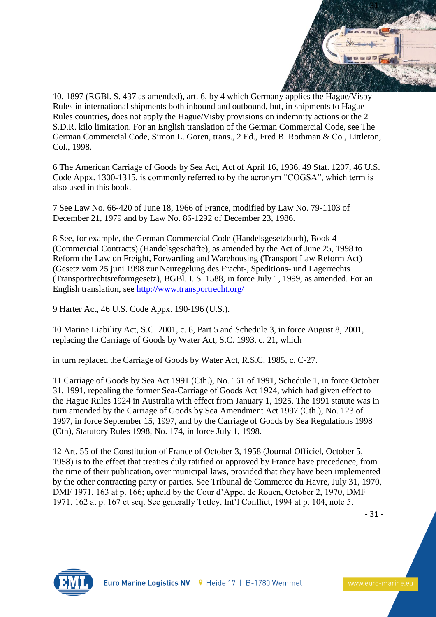

10, 1897 (RGBl. S. 437 as amended), art. 6, by 4 which Germany applies the Hague/Visby Rules in international shipments both inbound and outbound, but, in shipments to Hague Rules countries, does not apply the Hague/Visby provisions on indemnity actions or the 2 S.D.R. kilo limitation. For an English translation of the German Commercial Code, see The German Commercial Code, Simon L. Goren, trans., 2 Ed., Fred B. Rothman & Co., Littleton, Col., 1998.

6 The American Carriage of Goods by Sea Act, Act of April 16, 1936, 49 Stat. 1207, 46 U.S. Code Appx. 1300-1315, is commonly referred to by the acronym "COGSA", which term is also used in this book.

7 See Law No. 66-420 of June 18, 1966 of France, modified by Law No. 79-1103 of December 21, 1979 and by Law No. 86-1292 of December 23, 1986.

8 See, for example, the German Commercial Code (Handelsgesetzbuch), Book 4 (Commercial Contracts) (Handelsgeschäfte), as amended by the Act of June 25, 1998 to Reform the Law on Freight, Forwarding and Warehousing (Transport Law Reform Act) (Gesetz vom 25 juni 1998 zur Neuregelung des Fracht-, Speditions- und Lagerrechts (Transportrechtsreformgesetz), BGBl. I. S. 1588, in force July 1, 1999, as amended. For an English translation, see <http://www.transportrecht.org/>

9 Harter Act, 46 U.S. Code Appx. 190-196 (U.S.).

10 Marine Liability Act, S.C. 2001, c. 6, Part 5 and Schedule 3, in force August 8, 2001, replacing the Carriage of Goods by Water Act, S.C. 1993, c. 21, which

in turn replaced the Carriage of Goods by Water Act, R.S.C. 1985, c. C-27.

11 Carriage of Goods by Sea Act 1991 (Cth.), No. 161 of 1991, Schedule 1, in force October 31, 1991, repealing the former Sea-Carriage of Goods Act 1924, which had given effect to the Hague Rules 1924 in Australia with effect from January 1, 1925. The 1991 statute was in turn amended by the Carriage of Goods by Sea Amendment Act 1997 (Cth.), No. 123 of 1997, in force September 15, 1997, and by the Carriage of Goods by Sea Regulations 1998 (Cth), Statutory Rules 1998, No. 174, in force July 1, 1998.

12 Art. 55 of the Constitution of France of October 3, 1958 (Journal Officiel, October 5, 1958) is to the effect that treaties duly ratified or approved by France have precedence, from the time of their publication, over municipal laws, provided that they have been implemented by the other contracting party or parties. See Tribunal de Commerce du Havre, July 31, 1970, DMF 1971, 163 at p. 166; upheld by the Cour d'Appel de Rouen, October 2, 1970, DMF 1971, 162 at p. 167 et seq. See generally Tetley, Int'l Conflict, 1994 at p. 104, note 5.

- 31 -

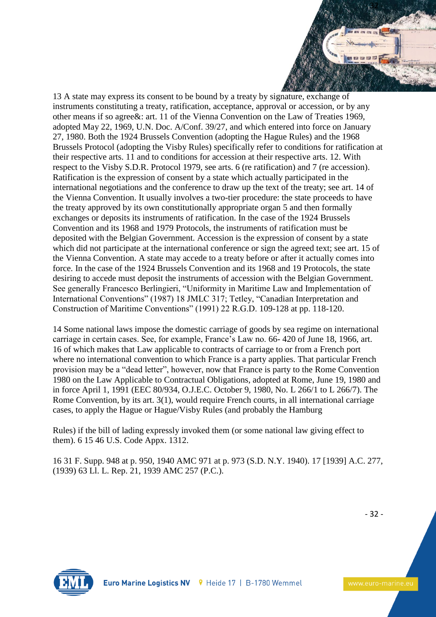

13 A state may express its consent to be bound by a treaty by signature, exchange of instruments constituting a treaty, ratification, acceptance, approval or accession, or by any other means if so agree&: art. 11 of the Vienna Convention on the Law of Treaties 1969, adopted May 22, 1969, U.N. Doc. A/Conf. 39/27, and which entered into force on January 27, 1980. Both the 1924 Brussels Convention (adopting the Hague Rules) and the 1968 Brussels Protocol (adopting the Visby Rules) specifically refer to conditions for ratification at their respective arts. 11 and to conditions for accession at their respective arts. 12. With respect to the Visby S.D.R. Protocol 1979, see arts. 6 (re ratification) and 7 (re accession). Ratification is the expression of consent by a state which actually participated in the international negotiations and the conference to draw up the text of the treaty; see art. 14 of the Vienna Convention. It usually involves a two-tier procedure: the state proceeds to have the treaty approved by its own constitutionally appropriate organ 5 and then formally exchanges or deposits its instruments of ratification. In the case of the 1924 Brussels Convention and its 1968 and 1979 Protocols, the instruments of ratification must be deposited with the Belgian Government. Accession is the expression of consent by a state which did not participate at the international conference or sign the agreed text; see art. 15 of the Vienna Convention. A state may accede to a treaty before or after it actually comes into force. In the case of the 1924 Brussels Convention and its 1968 and 19 Protocols, the state desiring to accede must deposit the instruments of accession with the Belgian Government. See generally Francesco Berlingieri, "Uniformity in Maritime Law and Implementation of International Conventions" (1987) 18 JMLC 317; Tetley, "Canadian Interpretation and Construction of Maritime Conventions" (1991) 22 R.G.D. 109-128 at pp. 118-120.

14 Some national laws impose the domestic carriage of goods by sea regime on international carriage in certain cases. See, for example, France's Law no. 66- 420 of June 18, 1966, art. 16 of which makes that Law applicable to contracts of carriage to or from a French port where no international convention to which France is a party applies. That particular French provision may be a "dead letter", however, now that France is party to the Rome Convention 1980 on the Law Applicable to Contractual Obligations, adopted at Rome, June 19, 1980 and in force April 1, 1991 (EEC 80/934, O.J.E.C. October 9, 1980, No. L 266/1 to L 266/7). The Rome Convention, by its art. 3(1), would require French courts, in all international carriage cases, to apply the Hague or Hague/Visby Rules (and probably the Hamburg

Rules) if the bill of lading expressly invoked them (or some national law giving effect to them). 6 15 46 U.S. Code Appx. 1312.

16 31 F. Supp. 948 at p. 950, 1940 AMC 971 at p. 973 (S.D. N.Y. 1940). 17 [1939] A.C. 277, (1939) 63 Ll. L. Rep. 21, 1939 AMC 257 (P.C.).



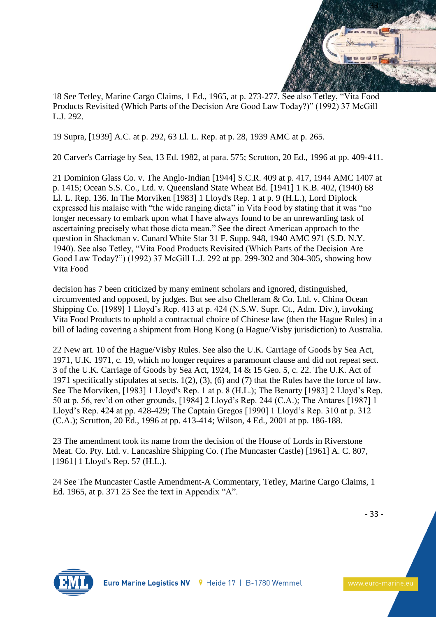

18 See Tetley, Marine Cargo Claims, 1 Ed., 1965, at p. 273-277. See also Tetley, "Vita Food Products Revisited (Which Parts of the Decision Are Good Law Today?)" (1992) 37 McGill L.J. 292.

19 Supra, [1939] A.C. at p. 292, 63 Ll. L. Rep. at p. 28, 1939 AMC at p. 265.

20 Carver's Carriage by Sea, 13 Ed. 1982, at para. 575; Scrutton, 20 Ed., 1996 at pp. 409-411.

21 Dominion Glass Co. v. The Anglo-Indian [1944] S.C.R. 409 at p. 417, 1944 AMC 1407 at p. 1415; Ocean S.S. Co., Ltd. v. Queensland State Wheat Bd. [1941] 1 K.B. 402, (1940) 68 Ll. L. Rep. 136. In The Morviken [1983] 1 Lloyd's Rep. 1 at p. 9 (H.L.), Lord Diplock expressed his malaise with "the wide ranging dicta" in Vita Food by stating that it was "no longer necessary to embark upon what I have always found to be an unrewarding task of ascertaining precisely what those dicta mean." See the direct American approach to the question in Shackman v. Cunard White Star 31 F. Supp. 948, 1940 AMC 971 (S.D. N.Y. 1940). See also Tetley, "Vita Food Products Revisited (Which Parts of the Decision Are Good Law Today?") (1992) 37 McGill L.J. 292 at pp. 299-302 and 304-305, showing how Vita Food

decision has 7 been criticized by many eminent scholars and ignored, distinguished, circumvented and opposed, by judges. But see also Chelleram & Co. Ltd. v. China Ocean Shipping Co. [1989] 1 Lloyd's Rep. 413 at p. 424 (N.S.W. Supr. Ct., Adm. Div.), invoking Vita Food Products to uphold a contractual choice of Chinese law (then the Hague Rules) in a bill of lading covering a shipment from Hong Kong (a Hague/Visby jurisdiction) to Australia.

22 New art. 10 of the Hague/Visby Rules. See also the U.K. Carriage of Goods by Sea Act, 1971, U.K. 1971, c. 19, which no longer requires a paramount clause and did not repeat sect. 3 of the U.K. Carriage of Goods by Sea Act, 1924, 14 & 15 Geo. 5, c. 22. The U.K. Act of 1971 specifically stipulates at sects. 1(2), (3), (6) and (7) that the Rules have the force of law. See The Morviken, [1983] 1 Lloyd's Rep. 1 at p. 8 (H.L.); The Benarty [1983] 2 Lloyd's Rep. 50 at p. 56, rev'd on other grounds, [1984] 2 Lloyd's Rep. 244 (C.A.); The Antares [1987] 1 Lloyd's Rep. 424 at pp. 428-429; The Captain Gregos [1990] 1 Lloyd's Rep. 310 at p. 312 (C.A.); Scrutton, 20 Ed., 1996 at pp. 413-414; Wilson, 4 Ed., 2001 at pp. 186-188.

23 The amendment took its name from the decision of the House of Lords in Riverstone Meat. Co. Pty. Ltd. v. Lancashire Shipping Co. (The Muncaster Castle) [1961] A. C. 807, [1961] 1 Lloyd's Rep. 57 (H.L.).

24 See The Muncaster Castle Amendment-A Commentary, Tetley, Marine Cargo Claims, 1 Ed. 1965, at p. 371 25 See the text in Appendix "A".

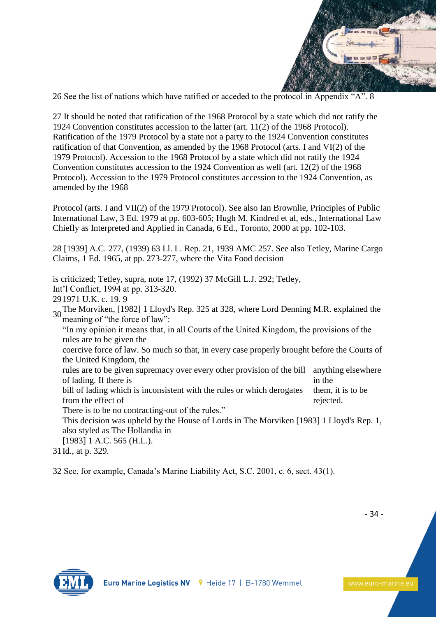

26 See the list of nations which have ratified or acceded to the protocol in Appendix "A". 8

27 It should be noted that ratification of the 1968 Protocol by a state which did not ratify the 1924 Convention constitutes accession to the latter (art. 11(2) of the 1968 Protocol). Ratification of the 1979 Protocol by a state not a party to the 1924 Convention constitutes ratification of that Convention, as amended by the 1968 Protocol (arts. I and VI(2) of the 1979 Protocol). Accession to the 1968 Protocol by a state which did not ratify the 1924 Convention constitutes accession to the 1924 Convention as well (art. 12(2) of the 1968 Protocol). Accession to the 1979 Protocol constitutes accession to the 1924 Convention, as amended by the 1968

Protocol (arts. I and VII(2) of the 1979 Protocol). See also Ian Brownlie, Principles of Public International Law, 3 Ed. 1979 at pp. 603-605; Hugh M. Kindred et al, eds., International Law Chiefly as Interpreted and Applied in Canada, 6 Ed., Toronto, 2000 at pp. 102-103.

28 [1939] A.C. 277, (1939) 63 Ll. L. Rep. 21, 1939 AMC 257. See also Tetley, Marine Cargo Claims, 1 Ed. 1965, at pp. 273-277, where the Vita Food decision

is criticized; Tetley, supra, note 17, (1992) 37 McGill L.J. 292; Tetley, Int'l Conflict, 1994 at pp. 313-320. 291971 U.K. c. 19. 9 <sup>30</sup>The Morviken, [1982] 1 Lloyd's Rep. 325 at 328, where Lord Denning M.R. explained the meaning of "the force of law": "In my opinion it means that, in all Courts of the United Kingdom, the provisions of the rules are to be given the coercive force of law. So much so that, in every case properly brought before the Courts of the United Kingdom, the rules are to be given supremacy over every other provision of the bill anything elsewhere of lading. If there is in the bill of lading which is inconsistent with the rules or which derogates from the effect of them, it is to be rejected. There is to be no contracting-out of the rules." This decision was upheld by the House of Lords in The Morviken [1983] 1 Lloyd's Rep. 1, also styled as The Hollandia in [1983] 1 A.C. 565 (H.L.). 31Id., at p. 329.

32 See, for example, Canada's Marine Liability Act, S.C. 2001, c. 6, sect. 43(1).

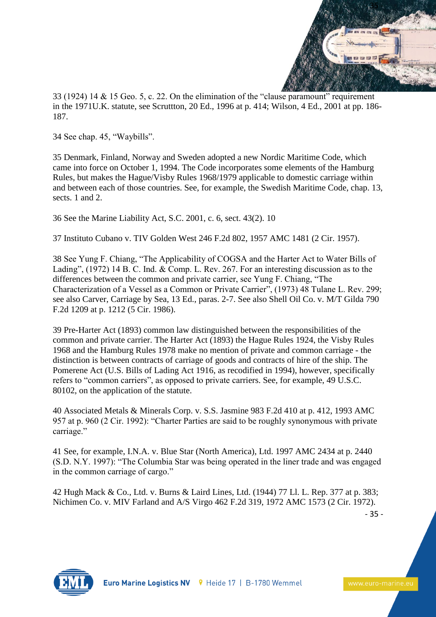

33 (1924) 14 & 15 Geo. 5, c. 22. On the elimination of the "clause paramount" requirement in the 1971U.K. statute, see Scruttton, 20 Ed., 1996 at p. 414; Wilson, 4 Ed., 2001 at pp. 186- 187.

34 See chap. 45, "Waybills".

35 Denmark, Finland, Norway and Sweden adopted a new Nordic Maritime Code, which came into force on October 1, 1994. The Code incorporates some elements of the Hamburg Rules, but makes the Hague/Visby Rules 1968/1979 applicable to domestic carriage within and between each of those countries. See, for example, the Swedish Maritime Code, chap. 13, sects. 1 and 2.

36 See the Marine Liability Act, S.C. 2001, c. 6, sect. 43(2). 10

37 Instituto Cubano v. TIV Golden West 246 F.2d 802, 1957 AMC 1481 (2 Cir. 1957).

38 See Yung F. Chiang, "The Applicability of COGSA and the Harter Act to Water Bills of Lading", (1972) 14 B. C. Ind. & Comp. L. Rev. 267. For an interesting discussion as to the differences between the common and private carrier, see Yung F. Chiang, "The Characterization of a Vessel as a Common or Private Carrier", (1973) 48 Tulane L. Rev. 299; see also Carver, Carriage by Sea, 13 Ed., paras. 2-7. See also Shell Oil Co. v. M/T Gilda 790 F.2d 1209 at p. 1212 (5 Cir. 1986).

39 Pre-Harter Act (1893) common law distinguished between the responsibilities of the common and private carrier. The Harter Act (1893) the Hague Rules 1924, the Visby Rules 1968 and the Hamburg Rules 1978 make no mention of private and common carriage - the distinction is between contracts of carriage of goods and contracts of hire of the ship. The Pomerene Act (U.S. Bills of Lading Act 1916, as recodified in 1994), however, specifically refers to "common carriers", as opposed to private carriers. See, for example, 49 U.S.C. 80102, on the application of the statute.

40 Associated Metals & Minerals Corp. v. S.S. Jasmine 983 F.2d 410 at p. 412, 1993 AMC 957 at p. 960 (2 Cir. 1992): "Charter Parties are said to be roughly synonymous with private carriage."

41 See, for example, I.N.A. v. Blue Star (North America), Ltd. 1997 AMC 2434 at p. 2440 (S.D. N.Y. 1997): "The Columbia Star was being operated in the liner trade and was engaged in the common carriage of cargo."

42 Hugh Mack & Co., Ltd. v. Burns & Laird Lines, Ltd. (1944) 77 Ll. L. Rep. 377 at p. 383; Nichimen Co. v. MIV Farland and A/S Virgo 462 F.2d 319, 1972 AMC 1573 (2 Cir. 1972).

- 35 -

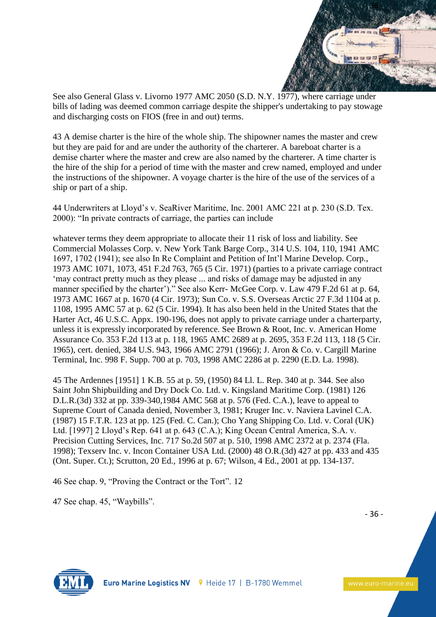

See also General Glass v. Livorno 1977 AMC 2050 (S.D. N.Y. 1977), where carriage under bills of lading was deemed common carriage despite the shipper's undertaking to pay stowage and discharging costs on FIOS (free in and out) terms.

43 A demise charter is the hire of the whole ship. The shipowner names the master and crew but they are paid for and are under the authority of the charterer. A bareboat charter is a demise charter where the master and crew are also named by the charterer. A time charter is the hire of the ship for a period of time with the master and crew named, employed and under the instructions of the shipowner. A voyage charter is the hire of the use of the services of a ship or part of a ship.

44 Underwriters at Lloyd's v. SeaRiver Maritime, Inc. 2001 AMC 221 at p. 230 (S.D. Tex. 2000): "In private contracts of carriage, the parties can include

whatever terms they deem appropriate to allocate their 11 risk of loss and liability. See Commercial Molasses Corp. v. New York Tank Barge Corp., 314 U.S. 104, 110, 1941 AMC 1697, 1702 (1941); see also In Re Complaint and Petition of Int'l Marine Develop. Corp., 1973 AMC 1071, 1073, 451 F.2d 763, 765 (5 Cir. 1971) (parties to a private carriage contract 'may contract pretty much as they please ... and risks of damage may be adjusted in any manner specified by the charter')." See also Kerr- McGee Corp. v. Law 479 F.2d 61 at p. 64, 1973 AMC 1667 at p. 1670 (4 Cir. 1973); Sun Co. v. S.S. Overseas Arctic 27 F.3d 1104 at p. 1108, 1995 AMC 57 at p. 62 (5 Cir. 1994). It has also been held in the United States that the Harter Act, 46 U.S.C. Appx. 190-196, does not apply to private carriage under a charterparty, unless it is expressly incorporated by reference. See Brown & Root, Inc. v. American Home Assurance Co. 353 F.2d 113 at p. 118, 1965 AMC 2689 at p. 2695, 353 F.2d 113, 118 (5 Cir. 1965), cert. denied, 384 U.S. 943, 1966 AMC 2791 (1966); J. Aron & Co. v. Cargill Marine Terminal, Inc. 998 F. Supp. 700 at p. 703, 1998 AMC 2286 at p. 2290 (E.D. La. 1998).

45 The Ardennes [1951] 1 K.B. 55 at p. 59, (1950) 84 Ll. L. Rep. 340 at p. 344. See also Saint John Shipbuilding and Dry Dock Co. Ltd. v. Kingsland Maritime Corp. (1981) 126 D.L.R.(3d) 332 at pp. 339-340,1984 AMC 568 at p. 576 (Fed. C.A.), leave to appeal to Supreme Court of Canada denied, November 3, 1981; Kruger Inc. v. Naviera Lavinel C.A. (1987) 15 F.T.R. 123 at pp. 125 (Fed. C. Can.); Cho Yang Shipping Co. Ltd. v. Coral (UK) Ltd. [1997] 2 Lloyd's Rep. 641 at p. 643 (C.A.); King Ocean Central America, S.A. v. Precision Cutting Services, Inc. 717 So.2d 507 at p. 510, 1998 AMC 2372 at p. 2374 (Fla. 1998); Texserv Inc. v. Incon Container USA Ltd. (2000) 48 O.R.(3d) 427 at pp. 433 and 435 (Ont. Super. Ct.); Scrutton, 20 Ed., 1996 at p. 67; Wilson, 4 Ed., 2001 at pp. 134-137.

46 See chap. 9, "Proving the Contract or the Tort". 12

47 See chap. 45, "Waybills".

- 36 -

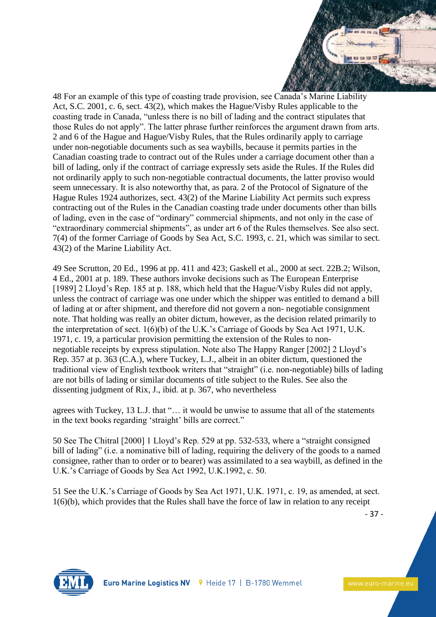

48 For an example of this type of coasting trade provision, see Canada's Marine Liability Act, S.C. 2001, c. 6, sect. 43(2), which makes the Hague/Visby Rules applicable to the coasting trade in Canada, "unless there is no bill of lading and the contract stipulates that those Rules do not apply". The latter phrase further reinforces the argument drawn from arts. 2 and 6 of the Hague and Hague/Visby Rules, that the Rules ordinarily apply to carriage under non-negotiable documents such as sea waybills, because it permits parties in the Canadian coasting trade to contract out of the Rules under a carriage document other than a bill of lading, only if the contract of carriage expressly sets aside the Rules. If the Rules did not ordinarily apply to such non-negotiable contractual documents, the latter proviso would seem unnecessary. It is also noteworthy that, as para. 2 of the Protocol of Signature of the Hague Rules 1924 authorizes, sect. 43(2) of the Marine Liability Act permits such express contracting out of the Rules in the Canadian coasting trade under documents other than bills of lading, even in the case of "ordinary" commercial shipments, and not only in the case of "extraordinary commercial shipments", as under art 6 of the Rules themselves. See also sect. 7(4) of the former Carriage of Goods by Sea Act, S.C. 1993, c. 21, which was similar to sect. 43(2) of the Marine Liability Act.

49 See Scrutton, 20 Ed., 1996 at pp. 411 and 423; Gaskell et al., 2000 at sect. 22B.2; Wilson, 4 Ed., 2001 at p. 189. These authors invoke decisions such as The European Enterprise [1989] 2 Lloyd's Rep. 185 at p. 188, which held that the Hague/Visby Rules did not apply, unless the contract of carriage was one under which the shipper was entitled to demand a bill of lading at or after shipment, and therefore did not govern a non- negotiable consignment note. That holding was really an obiter dictum, however, as the decision related primarily to the interpretation of sect. 1(6)(b) of the U.K.'s Carriage of Goods by Sea Act 1971, U.K. 1971, c. 19, a particular provision permitting the extension of the Rules to nonnegotiable receipts by express stipulation. Note also The Happy Ranger [2002] 2 Lloyd's Rep. 357 at p. 363 (C.A.), where Tuckey, L.J., albeit in an obiter dictum, questioned the traditional view of English textbook writers that "straight" (i.e. non-negotiable) bills of lading are not bills of lading or similar documents of title subject to the Rules. See also the dissenting judgment of Rix, J., ibid. at p. 367, who nevertheless

agrees with Tuckey, 13 L.J. that "… it would be unwise to assume that all of the statements in the text books regarding 'straight' bills are correct."

50 See The Chitral [2000] 1 Lloyd's Rep. 529 at pp. 532-533, where a "straight consigned bill of lading" (i.e. a nominative bill of lading, requiring the delivery of the goods to a named consignee, rather than to order or to bearer) was assimilated to a sea waybill, as defined in the U.K.'s Carriage of Goods by Sea Act 1992, U.K.1992, c. 50.

51 See the U.K.'s Carriage of Goods by Sea Act 1971, U.K. 1971, c. 19, as amended, at sect. 1(6)(b), which provides that the Rules shall have the force of law in relation to any receipt

- 37 -

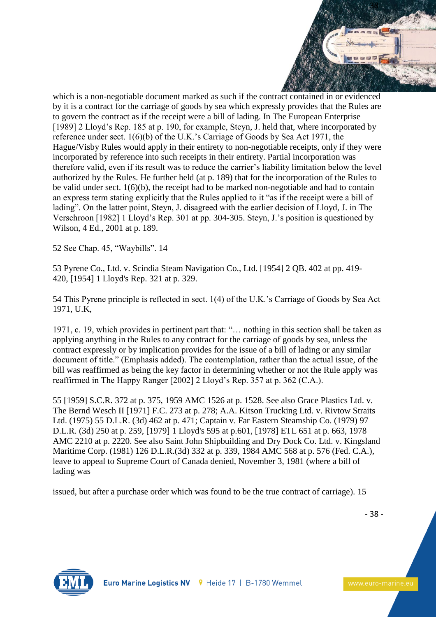

which is a non-negotiable document marked as such if the contract contained in or evidenced by it is a contract for the carriage of goods by sea which expressly provides that the Rules are to govern the contract as if the receipt were a bill of lading. In The European Enterprise [1989] 2 Lloyd's Rep. 185 at p. 190, for example, Steyn, J. held that, where incorporated by reference under sect. 1(6)(b) of the U.K.'s Carriage of Goods by Sea Act 1971, the Hague/Visby Rules would apply in their entirety to non-negotiable receipts, only if they were incorporated by reference into such receipts in their entirety. Partial incorporation was therefore valid, even if its result was to reduce the carrier's liability limitation below the level authorized by the Rules. He further held (at p. 189) that for the incorporation of the Rules to be valid under sect. 1(6)(b), the receipt had to be marked non-negotiable and had to contain an express term stating explicitly that the Rules applied to it "as if the receipt were a bill of lading". On the latter point, Steyn, J. disagreed with the earlier decision of Lloyd, J. in The Verschroon [1982] 1 Lloyd's Rep. 301 at pp. 304-305. Steyn, J.'s position is questioned by Wilson, 4 Ed., 2001 at p. 189.

52 See Chap. 45, "Waybills". 14

53 Pyrene Co., Ltd. v. Scindia Steam Navigation Co., Ltd. [1954] 2 QB. 402 at pp. 419- 420, [1954] 1 Lloyd's Rep. 321 at p. 329.

54 This Pyrene principle is reflected in sect. 1(4) of the U.K.'s Carriage of Goods by Sea Act 1971, U.K,

1971, c. 19, which provides in pertinent part that: "… nothing in this section shall be taken as applying anything in the Rules to any contract for the carriage of goods by sea, unless the contract expressly or by implication provides for the issue of a bill of lading or any similar document of title." (Emphasis added). The contemplation, rather than the actual issue, of the bill was reaffirmed as being the key factor in determining whether or not the Rule apply was reaffirmed in The Happy Ranger [2002] 2 Lloyd's Rep. 357 at p. 362 (C.A.).

55 [1959] S.C.R. 372 at p. 375, 1959 AMC 1526 at p. 1528. See also Grace Plastics Ltd. v. The Bernd Wesch II [1971] F.C. 273 at p. 278; A.A. Kitson Trucking Ltd. v. Rivtow Straits Ltd. (1975) 55 D.L.R. (3d) 462 at p. 471; Captain v. Far Eastern Steamship Co. (1979) 97 D.L.R. (3d) 250 at p. 259, [1979] 1 Lloyd's 595 at p.601, [1978] ETL 651 at p. 663, 1978 AMC 2210 at p. 2220. See also Saint John Shipbuilding and Dry Dock Co. Ltd. v. Kingsland Maritime Corp. (1981) 126 D.L.R.(3d) 332 at p. 339, 1984 AMC 568 at p. 576 (Fed. C.A.), leave to appeal to Supreme Court of Canada denied, November 3, 1981 (where a bill of lading was

issued, but after a purchase order which was found to be the true contract of carriage). 15

- 38 -

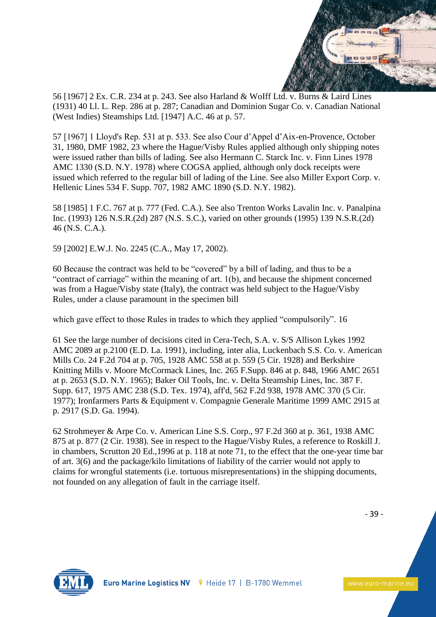

56 [1967] 2 Ex. C.R. 234 at p. 243. See also Harland & WoIff Ltd. v. Burns & Laird Lines (1931) 40 Ll. L. Rep. 286 at p. 287; Canadian and Dominion Sugar Co. v. Canadian National (West Indies) Steamships Ltd. [1947] A.C. 46 at p. 57.

57 [1967] 1 Lloyd's Rep. 531 at p. 533. See also Cour d'Appel d'Aix-en-Provence, October 31, 1980, DMF 1982, 23 where the Hague/Visby Rules applied although only shipping notes were issued rather than bills of lading. See also Hermann C. Starck Inc. v. Finn Lines 1978 AMC 1330 (S.D. N.Y. 1978) where COGSA applied, although only dock receipts were issued which referred to the regular bill of lading of the Line. See also Miller Export Corp. v. Hellenic Lines 534 F. Supp. 707, 1982 AMC 1890 (S.D. N.Y. 1982).

58 [1985] 1 F.C. 767 at p. 777 (Fed. C.A.). See also Trenton Works Lavalin Inc. v. Panalpina Inc. (1993) 126 N.S.R.(2d) 287 (N.S. S.C.), varied on other grounds (1995) 139 N.S.R.(2d) 46 (N.S. C.A.).

59 [2002] E.W.J. No. 2245 (C.A., May 17, 2002).

60 Because the contract was held to be "covered" by a bill of lading, and thus to be a "contract of carriage" within the meaning of art. 1(b), and because the shipment concerned was from a Hague/Visby state (Italy), the contract was held subject to the Hague/Visby Rules, under a clause paramount in the specimen bill

which gave effect to those Rules in trades to which they applied "compulsorily". 16

61 See the large number of decisions cited in Cera-Tech, S.A. v. S/S Allison Lykes 1992 AMC 2089 at p.2100 (E.D. La. 1991), including, inter alia, Luckenbach S.S. Co. v. American Mills Co. 24 F.2d 704 at p. 705, 1928 AMC 558 at p. 559 (5 Cir. 1928) and Berkshire Knitting Mills v. Moore McCormack Lines, Inc. 265 F.Supp. 846 at p. 848, 1966 AMC 2651 at p. 2653 (S.D. N.Y. 1965); Baker Oil Tools, Inc. v. Delta Steamship Lines, Inc. 387 F. Supp. 617, 1975 AMC 238 (S.D. Tex. 1974), aff'd, 562 F.2d 938, 1978 AMC 370 (5 Cir. 1977); Ironfarmers Parts & Equipment v. Compagnie Generale Maritime 1999 AMC 2915 at p. 2917 (S.D. Ga. 1994).

62 Strohmeyer & Arpe Co. v. American Line S.S. Corp., 97 F.2d 360 at p. 361, 1938 AMC 875 at p. 877 (2 Cir. 1938). See in respect to the Hague/Visby Rules, a reference to Roskill J. in chambers, Scrutton 20 Ed.,1996 at p. 118 at note 71, to the effect that the one-year time bar of art. 3(6) and the package/kilo limitations of liability of the carrier would not apply to claims for wrongful statements (i.e. tortuous misrepresentations) in the shipping documents, not founded on any allegation of fault in the carriage itself.

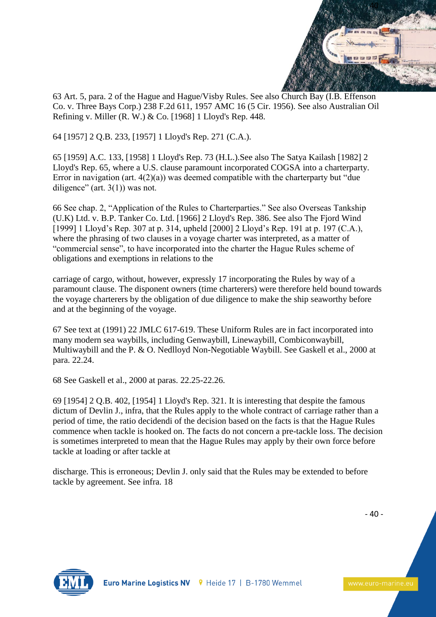

63 Art. 5, para. 2 of the Hague and Hague/Visby Rules. See also Church Bay (I.B. Effenson Co. v. Three Bays Corp.) 238 F.2d 611, 1957 AMC 16 (5 Cir. 1956). See also Australian Oil Refining v. Miller (R. W.) & Co. [1968] 1 Lloyd's Rep. 448.

64 [1957] 2 Q.B. 233, [1957] 1 Lloyd's Rep. 271 (C.A.).

65 [1959] A.C. 133, [1958] 1 Lloyd's Rep. 73 (H.L.).See also The Satya Kailash [1982] 2 Lloyd's Rep. 65, where a U.S. clause paramount incorporated COGSA into a charterparty. Error in navigation (art.  $4(2)(a)$ ) was deemed compatible with the charterparty but "due diligence" (art.  $3(1)$ ) was not.

66 See chap. 2, "Application of the Rules to Charterparties." See also Overseas Tankship (U.K) Ltd. v. B.P. Tanker Co. Ltd. [1966] 2 Lloyd's Rep. 386. See also The Fjord Wind [1999] 1 Lloyd's Rep. 307 at p. 314, upheld [2000] 2 Lloyd's Rep. 191 at p. 197 (C.A.), where the phrasing of two clauses in a voyage charter was interpreted, as a matter of "commercial sense", to have incorporated into the charter the Hague Rules scheme of obligations and exemptions in relations to the

carriage of cargo, without, however, expressly 17 incorporating the Rules by way of a paramount clause. The disponent owners (time charterers) were therefore held bound towards the voyage charterers by the obligation of due diligence to make the ship seaworthy before and at the beginning of the voyage.

67 See text at (1991) 22 JMLC 617-619. These Uniform Rules are in fact incorporated into many modern sea waybills, including Genwaybill, Linewaybill, Combiconwaybill, Multiwaybill and the P. & O. Nedlloyd Non-Negotiable Waybill. See Gaskell et al., 2000 at para. 22.24.

68 See Gaskell et al., 2000 at paras. 22.25-22.26.

69 [1954] 2 Q.B. 402, [1954] 1 Lloyd's Rep. 321. It is interesting that despite the famous dictum of Devlin J., infra, that the Rules apply to the whole contract of carriage rather than a period of time, the ratio decidendi of the decision based on the facts is that the Hague Rules commence when tackle is hooked on. The facts do not concern a pre-tackle loss. The decision is sometimes interpreted to mean that the Hague Rules may apply by their own force before tackle at loading or after tackle at

discharge. This is erroneous; Devlin J. only said that the Rules may be extended to before tackle by agreement. See infra. 18

- 40 -

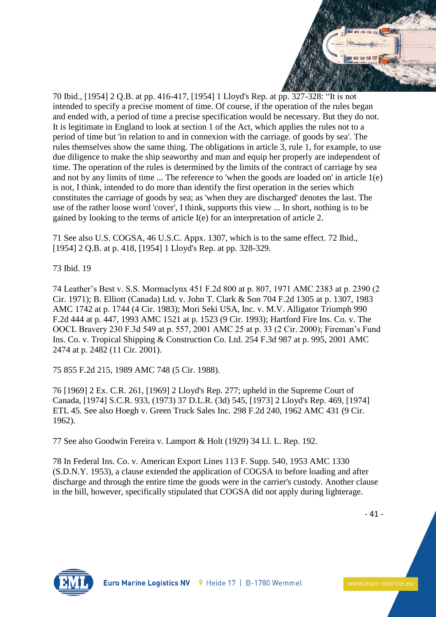

70 Ibid., [1954] 2 Q.B. at pp. 416-417, [1954] 1 Lloyd's Rep. at pp. 327-328: "It is not intended to specify a precise moment of time. Of course, if the operation of the rules began and ended with, a period of time a precise specification would be necessary. But they do not. It is legitimate in England to look at section 1 of the Act, which applies the rules not to a period of time but 'in relation to and in connexion with the carriage. of goods by sea'. The rules themselves show the same thing. The obligations in article 3, rule 1, for example, to use due diligence to make the ship seaworthy and man and equip her properly are independent of time. The operation of the rules is determined by the limits of the contract of carriage by sea and not by any limits of time ... The reference to 'when the goods are loaded on' in article 1(e) is not, I think, intended to do more than identify the first operation in the series which constitutes the carriage of goods by sea; as 'when they are discharged' denotes the last. The use of the rather loose word 'cover', I think, supports this view ... In short, nothing is to be gained by looking to the terms of article I(e) for an interpretation of article 2.

71 See also U.S. COGSA, 46 U.S.C. Appx. 1307, which is to the same effect. 72 Ibid., [1954] 2 Q.B. at p. 418, [1954] 1 Lloyd's Rep. at pp. 328-329.

73 Ibid. 19

74 Leather's Best v. S.S. Mormaclynx 451 F.2d 800 at p. 807, 1971 AMC 2383 at p. 2390 (2 Cir. 1971); B. Elliott (Canada) Ltd. v. John T. Clark & Son 704 F.2d 1305 at p. 1307, 1983 AMC 1742 at p. 1744 (4 Cir. 1983); Mori Seki USA, Inc. v. M.V. Alligator Triumph 990 F.2d 444 at p. 447, 1993 AMC 1521 at p. 1523 (9 Cir. 1993); Hartford Fire Ins. Co. v. The OOCL Bravery 230 F.3d 549 at p. 557, 2001 AMC 25 at p. 33 (2 Cir. 2000); Fireman's Fund Ins. Co. v. Tropical Shipping & Construction Co. Ltd. 254 F.3d 987 at p. 995, 2001 AMC 2474 at p. 2482 (11 Cir. 2001).

75 855 F.2d 215, 1989 AMC 748 (5 Cir. 1988).

76 [1969] 2 Ex. C.R. 261, [1969] 2 Lloyd's Rep. 277; upheld in the Supreme Court of Canada, [1974] S.C.R. 933, (1973) 37 D.L.R. (3d) 545, [1973] 2 Lloyd's Rep. 469, [1974] ETL 45. See also Hoegh v. Green Truck Sales Inc. 298 F.2d 240, 1962 AMC 431 (9 Cir. 1962).

77 See also Goodwin Fereira v. Lamport & Holt (1929) 34 Ll. L. Rep. 192.

78 In Federal Ins. Co. v. American Export Lines 113 F. Supp. 540, 1953 AMC 1330 (S.D.N.Y. 1953), a clause extended the application of COGSA to before loading and after discharge and through the entire time the goods were in the carrier's custody. Another clause in the bill, however, specifically stipulated that COGSA did not apply during lighterage.



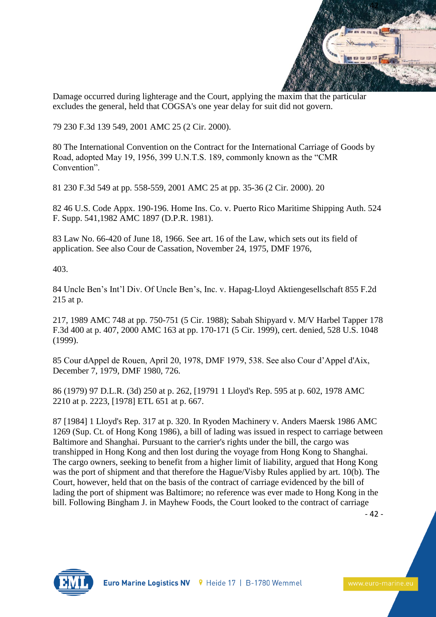

Damage occurred during lighterage and the Court, applying the maxim that the particular excludes the general, held that COGSA's one year delay for suit did not govern.

79 230 F.3d 139 549, 2001 AMC 25 (2 Cir. 2000).

80 The International Convention on the Contract for the International Carriage of Goods by Road, adopted May 19, 1956, 399 U.N.T.S. 189, commonly known as the "CMR Convention".

81 230 F.3d 549 at pp. 558-559, 2001 AMC 25 at pp. 35-36 (2 Cir. 2000). 20

82 46 U.S. Code Appx. 190-196. Home Ins. Co. v. Puerto Rico Maritime Shipping Auth. 524 F. Supp. 541,1982 AMC 1897 (D.P.R. 1981).

83 Law No. 66-420 of June 18, 1966. See art. 16 of the Law, which sets out its field of application. See also Cour de Cassation, November 24, 1975, DMF 1976,

403.

84 Uncle Ben's Int'l Div. Of Uncle Ben's, Inc. v. Hapag-Lloyd Aktiengesellschaft 855 F.2d 215 at p.

217, 1989 AMC 748 at pp. 750-751 (5 Cir. 1988); Sabah Shipyard v. M/V Harbel Tapper 178 F.3d 400 at p. 407, 2000 AMC 163 at pp. 170-171 (5 Cir. 1999), cert. denied, 528 U.S. 1048 (1999).

85 Cour dAppel de Rouen, April 20, 1978, DMF 1979, 538. See also Cour d'Appel d'Aix, December 7, 1979, DMF 1980, 726.

86 (1979) 97 D.L.R. (3d) 250 at p. 262, [19791 1 Lloyd's Rep. 595 at p. 602, 1978 AMC 2210 at p. 2223, [1978] ETL 651 at p. 667.

87 [1984] 1 Lloyd's Rep. 317 at p. 320. In Ryoden Machinery v. Anders Maersk 1986 AMC 1269 (Sup. Ct. of Hong Kong 1986), a bill of lading was issued in respect to carriage between Baltimore and Shanghai. Pursuant to the carrier's rights under the bill, the cargo was transhipped in Hong Kong and then lost during the voyage from Hong Kong to Shanghai. The cargo owners, seeking to benefit from a higher limit of liability, argued that Hong Kong was the port of shipment and that therefore the Hague/Visby Rules applied by art. 10(b). The Court, however, held that on the basis of the contract of carriage evidenced by the bill of lading the port of shipment was Baltimore; no reference was ever made to Hong Kong in the bill. Following Bingham J. in Mayhew Foods, the Court looked to the contract of carriage

- 42 -

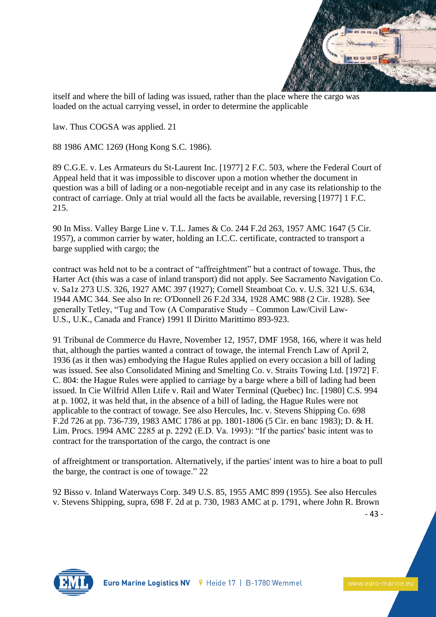

itself and where the bill of lading was issued, rather than the place where the cargo was loaded on the actual carrying vessel, in order to determine the applicable

law. Thus COGSA was applied. 21

88 1986 AMC 1269 (Hong Kong S.C. 1986).

89 C.G.E. v. Les Armateurs du St-Laurent Inc. [1977] 2 F.C. 503, where the Federal Court of Appeal held that it was impossible to discover upon a motion whether the document in question was a bill of lading or a non-negotiable receipt and in any case its relationship to the contract of carriage. Only at trial would all the facts be available, reversing [1977] 1 F.C. 215.

90 In Miss. Valley Barge Line v. T.L. James & Co. 244 F.2d 263, 1957 AMC 1647 (5 Cir. 1957), a common carrier by water, holding an I.C.C. certificate, contracted to transport a barge supplied with cargo; the

contract was held not to be a contract of "affreightment" but a contract of towage. Thus, the Harter Act (this was a case of inland transport) did not apply. See Sacramento Navigation Co. v. Sa1z 273 U.S. 326, 1927 AMC 397 (1927); Cornell Steamboat Co. v. U.S. 321 U.S. 634, 1944 AMC 344. See also In re: O'Donnell 26 F.2d 334, 1928 AMC 988 (2 Cir. 1928). See generally Tetley, "Tug and Tow (A Comparative Study – Common Law/Civil Law-U.S., U.K., Canada and France) 1991 Il Diritto Marittimo 893-923.

91 Tribunal de Commerce du Havre, November 12, 1957, DMF 1958, 166, where it was held that, although the parties wanted a contract of towage, the internal French Law of April 2, 1936 (as it then was) embodying the Hague Rules applied on every occasion a bill of lading was issued. See also Consolidated Mining and Smelting Co. v. Straits Towing Ltd. [1972] F. C. 804: the Hague Rules were applied to carriage by a barge where a bill of lading had been issued. In Cie Wilfrid Allen Ltife v. Rail and Water Terminal (Quebec) Inc. [1980] C.S. 994 at p. 1002, it was held that, in the absence of a bill of lading, the Hague Rules were not applicable to the contract of towage. See also Hercules, Inc. v. Stevens Shipping Co. 698 F.2d 726 at pp. 736-739, 1983 AMC 1786 at pp. 1801-1806 (5 Cir. en banc 1983); D. & H. Lim. Procs. 1994 AMC 2285 at p. 2292 (E.D. Va. 1993): "If the parties' basic intent was to contract for the transportation of the cargo, the contract is one

of affreightment or transportation. Alternatively, if the parties' intent was to hire a boat to pull the barge, the contract is one of towage." 22

92 Bisso v. Inland Waterways Corp. 349 U.S. 85, 1955 AMC 899 (1955). See also Hercules v. Stevens Shipping, supra, 698 F. 2d at p. 730, 1983 AMC at p. 1791, where John R. Brown

- 43 -

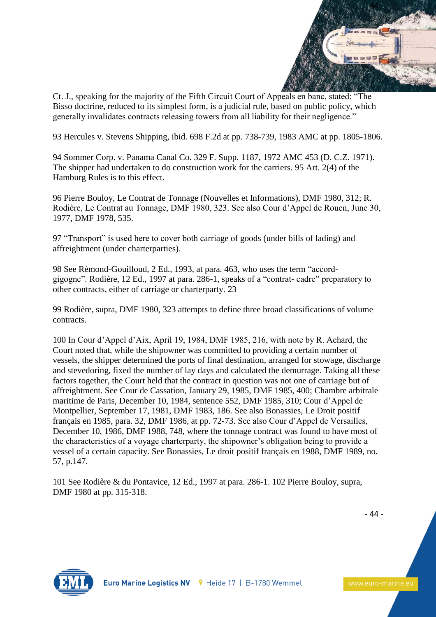

Ct. J., speaking for the majority of the Fifth Circuit Court of Appeals en banc, stated: "The Bisso doctrine, reduced to its simplest form, is a judicial rule, based on public policy, which generally invalidates contracts releasing towers from all liability for their negligence."

93 Hercules v. Stevens Shipping, ibid. 698 F.2d at pp. 738-739, 1983 AMC at pp. 1805-1806.

94 Sommer Corp. v. Panama Canal Co. 329 F. Supp. 1187, 1972 AMC 453 (D. C.Z. 1971). The shipper had undertaken to do construction work for the carriers. 95 Art. 2(4) of the Hamburg Rules is to this effect.

96 Pierre Bouloy, Le Contrat de Tonnage (Nouvelles et Informations), DMF 1980, 312; R. Rodière, Le Contrat au Tonnage, DMF 1980, 323. See also Cour d'Appel de Rouen, June 30, 1977, DMF 1978, 535.

97 "Transport" is used here to cover both carriage of goods (under bills of lading) and affreightment (under charterparties).

98 See Rèmond-Gouilloud, 2 Ed., 1993, at para. 463, who uses the term "accordgigogne". Rodière, 12 Ed., 1997 at para. 286-1, speaks of a "contrat- cadre" preparatory to other contracts, either of carriage or charterparty. 23

99 Rodière, supra, DMF 1980, 323 attempts to define three broad classifications of volume contracts.

100 In Cour d'Appel d'Aix, April 19, 1984, DMF 1985, 216, with note by R. Achard, the Court noted that, while the shipowner was committed to providing a certain number of vessels, the shipper determined the ports of final destination, arranged for stowage, discharge and stevedoring, fixed the number of lay days and calculated the demurrage. Taking all these factors together, the Court held that the contract in question was not one of carriage but of affreightment. See Cour de Cassation, January 29, 1985, DMF 1985, 400; Chambre arbitrale maritime de Paris, December 10, 1984, sentence 552, DMF 1985, 310; Cour d'Appel de Montpellier, September 17, 1981, DMF 1983, 186. See also Bonassies, Le Droit positif français en 1985, para. 32, DMF 1986, at pp. 72-73. See also Cour d'Appel de Versailles, December 10, 1986, DMF 1988, 748, where the tonnage contract was found to have most of the characteristics of a voyage charterparty, the shipowner's obligation being to provide a vessel of a certain capacity. See Bonassies, Le droit positif français en 1988, DMF 1989, no. 57, p.147.

101 See Rodière & du Pontavice, 12 Ed., 1997 at para. 286-1. 102 Pierre Bouloy, supra, DMF 1980 at pp. 315-318.

- 44 -

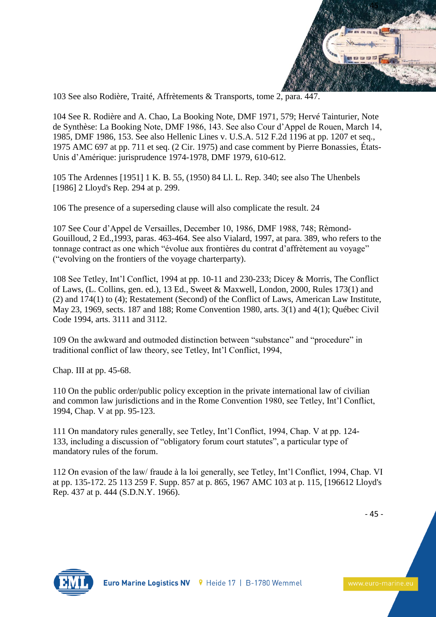

103 See also Rodière, Traité, Affrètements & Transports, tome 2, para. 447.

104 See R. Rodière and A. Chao, La Booking Note, DMF 1971, 579; Hervé Tainturier, Note de Synthèse: La Booking Note, DMF 1986, 143. See also Cour d'Appel de Rouen, March 14, 1985, DMF 1986, 153. See also Hellenic Lines v. U.S.A. 512 F.2d 1196 at pp. 1207 et seq., 1975 AMC 697 at pp. 711 et seq. (2 Cir. 1975) and case comment by Pierre Bonassies, États-Unis d'Amérique: jurisprudence 1974-1978, DMF 1979, 610-612.

105 The Ardennes [1951] 1 K. B. 55, (1950) 84 Ll. L. Rep. 340; see also The Uhenbels [1986] 2 Lloyd's Rep. 294 at p. 299.

106 The presence of a superseding clause will also complicate the result. 24

107 See Cour d'Appel de Versailles, December 10, 1986, DMF 1988, 748; Rèmond-Gouilloud, 2 Ed.,1993, paras. 463-464. See also Vialard, 1997, at para. 389, who refers to the tonnage contract as one which "évolue aux frontières du contrat d'affrètement au voyage" ("evolving on the frontiers of the voyage charterparty).

108 See Tetley, Int'l Conflict, 1994 at pp. 10-11 and 230-233; Dicey & Morris, The Conflict of Laws, (L. Collins, gen. ed.), 13 Ed., Sweet & Maxwell, London, 2000, Rules 173(1) and (2) and 174(1) to (4); Restatement (Second) of the Conflict of Laws, American Law Institute, May 23, 1969, sects. 187 and 188; Rome Convention 1980, arts. 3(1) and 4(1); Québec Civil Code 1994, arts. 3111 and 3112.

109 On the awkward and outmoded distinction between "substance" and "procedure" in traditional conflict of law theory, see Tetley, Int'l Conflict, 1994,

Chap. III at pp. 45-68.

110 On the public order/public policy exception in the private international law of civilian and common law jurisdictions and in the Rome Convention 1980, see Tetley, Int'l Conflict, 1994, Chap. V at pp. 95-123.

111 On mandatory rules generally, see Tetley, Int'l Conflict, 1994, Chap. V at pp. 124- 133, including a discussion of "obligatory forum court statutes", a particular type of mandatory rules of the forum.

112 On evasion of the law/ fraude à la loi generally, see Tetley, Int'l Conflict, 1994, Chap. VI at pp. 135-172. 25 113 259 F. Supp. 857 at p. 865, 1967 AMC 103 at p. 115, [196612 Lloyd's Rep. 437 at p. 444 (S.D.N.Y. 1966).

- 45 -

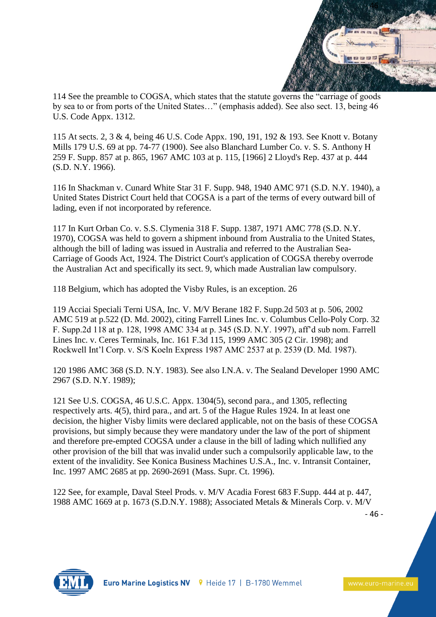

114 See the preamble to COGSA, which states that the statute governs the "carriage of goods by sea to or from ports of the United States…" (emphasis added). See also sect. 13, being 46 U.S. Code Appx. 1312.

115 At sects. 2, 3 & 4, being 46 U.S. Code Appx. 190, 191, 192 & 193. See Knott v. Botany Mills 179 U.S. 69 at pp. 74-77 (1900). See also Blanchard Lumber Co. v. S. S. Anthony H 259 F. Supp. 857 at p. 865, 1967 AMC 103 at p. 115, [1966] 2 Lloyd's Rep. 437 at p. 444 (S.D. N.Y. 1966).

116 In Shackman v. Cunard White Star 31 F. Supp. 948, 1940 AMC 971 (S.D. N.Y. 1940), a United States District Court held that COGSA is a part of the terms of every outward bill of lading, even if not incorporated by reference.

117 In Kurt Orban Co. v. S.S. Clymenia 318 F. Supp. 1387, 1971 AMC 778 (S.D. N.Y. 1970), COGSA was held to govern a shipment inbound from Australia to the United States, although the bill of lading was issued in Australia and referred to the Australian Sea-Carriage of Goods Act, 1924. The District Court's application of COGSA thereby overrode the Australian Act and specifically its sect. 9, which made Australian law compulsory.

118 Belgium, which has adopted the Visby Rules, is an exception. 26

119 Acciai Speciali Terni USA, Inc. V. M/V Berane 182 F. Supp.2d 503 at p. 506, 2002 AMC 519 at p.522 (D. Md. 2002), citing Farrell Lines Inc. v. Columbus Cello-Poly Corp. 32 F. Supp.2d 118 at p. 128, 1998 AMC 334 at p. 345 (S.D. N.Y. 1997), aff'd sub nom. Farrell Lines Inc. v. Ceres Terminals, Inc. 161 F.3d 115, 1999 AMC 305 (2 Cir. 1998); and Rockwell Int'l Corp. v. S/S Koeln Express 1987 AMC 2537 at p. 2539 (D. Md. 1987).

120 1986 AMC 368 (S.D. N.Y. 1983). See also I.N.A. v. The Sealand Developer 1990 AMC 2967 (S.D. N.Y. 1989);

121 See U.S. COGSA, 46 U.S.C. Appx. 1304(5), second para., and 1305, reflecting respectively arts. 4(5), third para., and art. 5 of the Hague Rules 1924. In at least one decision, the higher Visby limits were declared applicable, not on the basis of these COGSA provisions, but simply because they were mandatory under the law of the port of shipment and therefore pre-empted COGSA under a clause in the bill of lading which nullified any other provision of the bill that was invalid under such a compulsorily applicable law, to the extent of the invalidity. See Konica Business Machines U.S.A., Inc. v. Intransit Container, Inc. 1997 AMC 2685 at pp. 2690-2691 (Mass. Supr. Ct. 1996).

122 See, for example, Daval Steel Prods. v. M/V Acadia Forest 683 F.Supp. 444 at p. 447, 1988 AMC 1669 at p. 1673 (S.D.N.Y. 1988); Associated Metals & Minerals Corp. v. M/V

- 46 -

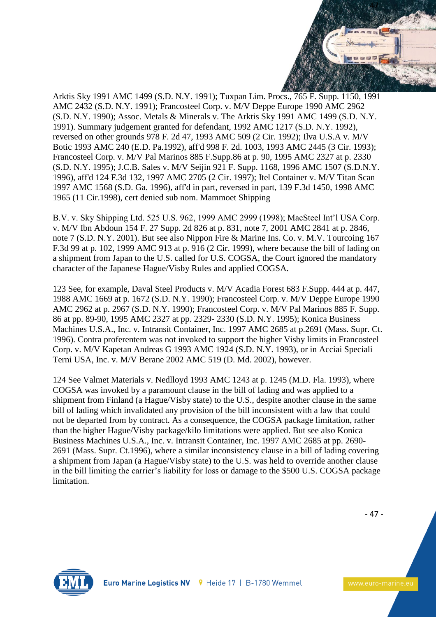

Arktis Sky 1991 AMC 1499 (S.D. N.Y. 1991); Tuxpan Lim. Procs., 765 F. Supp. 1150, 1991 AMC 2432 (S.D. N.Y. 1991); Francosteel Corp. v. M/V Deppe Europe 1990 AMC 2962 (S.D. N.Y. 1990); Assoc. Metals & Minerals v. The Arktis Sky 1991 AMC 1499 (S.D. N.Y. 1991). Summary judgement granted for defendant, 1992 AMC 1217 (S.D. N.Y. 1992), reversed on other grounds 978 F. 2d 47, 1993 AMC 509 (2 Cir. 1992); Ilva U.S.A v. M/V Botic 1993 AMC 240 (E.D. Pa.1992), aff'd 998 F. 2d. 1003, 1993 AMC 2445 (3 Cir. 1993); Francosteel Corp. v. M/V Pal Marinos 885 F.Supp.86 at p. 90, 1995 AMC 2327 at p. 2330 (S.D. N.Y. 1995); J.C.B. Sales v. M/V Seijin 921 F. Supp. 1168, 1996 AMC 1507 (S.D.N.Y. 1996), aff'd 124 F.3d 132, 1997 AMC 2705 (2 Cir. 1997); Itel Container v. M/V Titan Scan 1997 AMC 1568 (S.D. Ga. 1996), aff'd in part, reversed in part, 139 F.3d 1450, 1998 AMC 1965 (11 Cir.1998), cert denied sub nom. Mammoet Shipping

B.V. v. Sky Shipping Ltd. 525 U.S. 962, 1999 AMC 2999 (1998); MacSteel Int'l USA Corp. v. M/V Ibn Abdoun 154 F. 27 Supp. 2d 826 at p. 831, note 7, 2001 AMC 2841 at p. 2846, note 7 (S.D. N.Y. 2001). But see also Nippon Fire & Marine Ins. Co. v. M.V. Tourcoing 167 F.3d 99 at p. 102, 1999 AMC 913 at p. 916 (2 Cir. 1999), where because the bill of lading on a shipment from Japan to the U.S. called for U.S. COGSA, the Court ignored the mandatory character of the Japanese Hague/Visby Rules and applied COGSA.

123 See, for example, Daval Steel Products v. M/V Acadia Forest 683 F.Supp. 444 at p. 447, 1988 AMC 1669 at p. 1672 (S.D. N.Y. 1990); Francosteel Corp. v. M/V Deppe Europe 1990 AMC 2962 at p. 2967 (S.D. N.Y. 1990); Francosteel Corp. v. M/V Pal Marinos 885 F. Supp. 86 at pp. 89-90, 1995 AMC 2327 at pp. 2329- 2330 (S.D. N.Y. 1995); Konica Business Machines U.S.A., Inc. v. Intransit Container, Inc. 1997 AMC 2685 at p.2691 (Mass. Supr. Ct. 1996). Contra proferentem was not invoked to support the higher Visby limits in Francosteel Corp. v. M/V Kapetan Andreas G 1993 AMC 1924 (S.D. N.Y. 1993), or in Acciai Speciali Terni USA, Inc. v. M/V Berane 2002 AMC 519 (D. Md. 2002), however.

124 See Valmet Materials v. Nedlloyd 1993 AMC 1243 at p. 1245 (M.D. Fla. 1993), where COGSA was invoked by a paramount clause in the bill of lading and was applied to a shipment from Finland (a Hague/Visby state) to the U.S., despite another clause in the same bill of lading which invalidated any provision of the bill inconsistent with a law that could not be departed from by contract. As a consequence, the COGSA package limitation, rather than the higher Hague/Visby package/kilo limitations were applied. But see also Konica Business Machines U.S.A., Inc. v. Intransit Container, Inc. 1997 AMC 2685 at pp. 2690- 2691 (Mass. Supr. Ct.1996), where a similar inconsistency clause in a bill of lading covering a shipment from Japan (a Hague/Visby state) to the U.S. was held to override another clause in the bill limiting the carrier's liability for loss or damage to the \$500 U.S. COGSA package limitation.

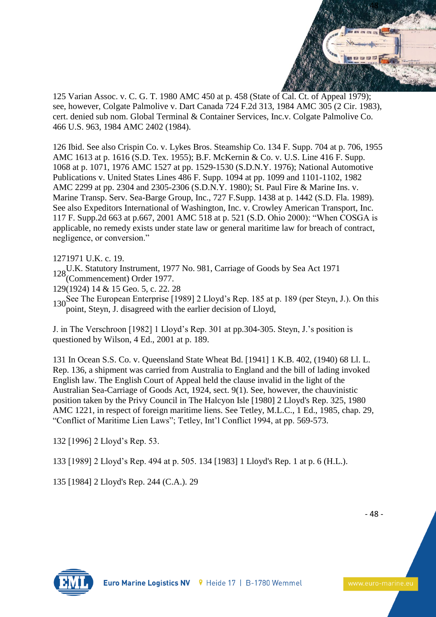

125 Varian Assoc. v. C. G. T. 1980 AMC 450 at p. 458 (State of Cal. Ct. of Appeal 1979); see, however, Colgate Palmolive v. Dart Canada 724 F.2d 313, 1984 AMC 305 (2 Cir. 1983), cert. denied sub nom. Global Terminal & Container Services, Inc.v. Colgate Palmolive Co. 466 U.S. 963, 1984 AMC 2402 (1984).

126 Ibid. See also Crispin Co. v. Lykes Bros. Steamship Co. 134 F. Supp. 704 at p. 706, 1955 AMC 1613 at p. 1616 (S.D. Tex. 1955); B.F. McKernin & Co. v. U.S. Line 416 F. Supp. 1068 at p. 1071, 1976 AMC 1527 at pp. 1529-1530 (S.D.N.Y. 1976); National Automotive Publications v. United States Lines 486 F. Supp. 1094 at pp. 1099 and 1101-1102, 1982 AMC 2299 at pp. 2304 and 2305-2306 (S.D.N.Y. 1980); St. Paul Fire & Marine Ins. v. Marine Transp. Serv. Sea-Barge Group, Inc., 727 F.Supp. 1438 at p. 1442 (S.D. Fla. 1989). See also Expeditors International of Washington, Inc. v. Crowley American Transport, Inc. 117 F. Supp.2d 663 at p.667, 2001 AMC 518 at p. 521 (S.D. Ohio 2000): "When COSGA is applicable, no remedy exists under state law or general maritime law for breach of contract, negligence, or conversion."

1271971 U.K. c. 19.

128U.K. Statutory Instrument, 1977 No. 981, Carriage of Goods by Sea Act 1971 (Commencement) Order 1977.

129(1924) 14 & 15 Geo. 5, c. 22. 28

130See The European Enterprise [1989] 2 Lloyd's Rep. 185 at p. 189 (per Steyn, J.). On this point, Steyn, J. disagreed with the earlier decision of Lloyd,

J. in The Verschroon [1982] 1 Lloyd's Rep. 301 at pp.304-305. Steyn, J.'s position is questioned by Wilson, 4 Ed., 2001 at p. 189.

131 In Ocean S.S. Co. v. Queensland State Wheat Bd. [1941] 1 K.B. 402, (1940) 68 Ll. L. Rep. 136, a shipment was carried from Australia to England and the bill of lading invoked English law. The English Court of Appeal held the clause invalid in the light of the Australian Sea-Carriage of Goods Act, 1924, sect. 9(1). See, however, the chauvinistic position taken by the Privy Council in The Halcyon Isle [1980] 2 Lloyd's Rep. 325, 1980 AMC 1221, in respect of foreign maritime liens. See Tetley, M.L.C., 1 Ed., 1985, chap. 29, "Conflict of Maritime Lien Laws"; Tetley, Int'l Conflict 1994, at pp. 569-573.

132 [1996] 2 Lloyd's Rep. 53.

133 [1989] 2 Lloyd's Rep. 494 at p. 505. 134 [1983] 1 Lloyd's Rep. 1 at p. 6 (H.L.).

135 [1984] 2 Lloyd's Rep. 244 (C.A.). 29

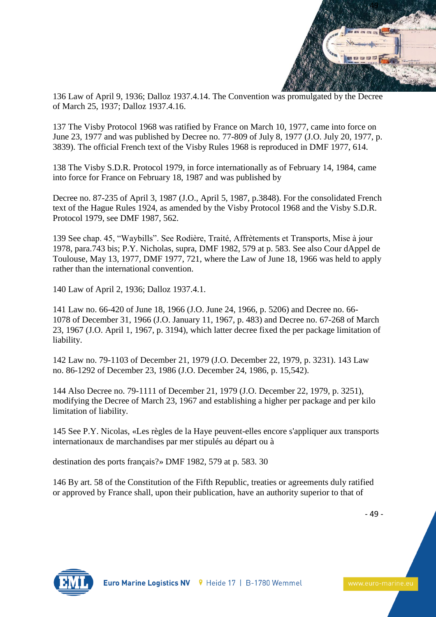

136 Law of April 9, 1936; Dalloz 1937.4.14. The Convention was promulgated by the Decree of March 25, 1937; Dalloz 1937.4.16.

137 The Visby Protocol 1968 was ratified by France on March 10, 1977, came into force on June 23, 1977 and was published by Decree no. 77-809 of July 8, 1977 (J.O. July 20, 1977, p. 3839). The official French text of the Visby Rules 1968 is reproduced in DMF 1977, 614.

138 The Visby S.D.R. Protocol 1979, in force internationally as of February 14, 1984, came into force for France on February 18, 1987 and was published by

Decree no. 87-235 of April 3, 1987 (J.O., April 5, 1987, p.3848). For the consolidated French text of the Hague Rules 1924, as amended by the Visby Protocol 1968 and the Visby S.D.R. Protocol 1979, see DMF 1987, 562.

139 See chap. 45, "Waybills". See Rodière, Traité, Affrètements et Transports, Mise à jour 1978, para.743 bis; P.Y. Nicholas, supra, DMF 1982, 579 at p. 583. See also Cour dAppel de Toulouse, May 13, 1977, DMF 1977, 721, where the Law of June 18, 1966 was held to apply rather than the international convention.

140 Law of April 2, 1936; Dalloz 1937.4.1.

141 Law no. 66-420 of June 18, 1966 (J.O. June 24, 1966, p. 5206) and Decree no. 66- 1078 of December 31, 1966 (J.O. January 11, 1967, p. 483) and Decree no. 67-268 of March 23, 1967 (J.O. April 1, 1967, p. 3194), which latter decree fixed the per package limitation of liability.

142 Law no. 79-1103 of December 21, 1979 (J.O. December 22, 1979, p. 3231). 143 Law no. 86-1292 of December 23, 1986 (J.O. December 24, 1986, p. 15,542).

144 Also Decree no. 79-1111 of December 21, 1979 (J.O. December 22, 1979, p. 3251), modifying the Decree of March 23, 1967 and establishing a higher per package and per kilo limitation of liability.

145 See P.Y. Nicolas, «Les règles de la Haye peuvent-elles encore s'appliquer aux transports internationaux de marchandises par mer stipulés au départ ou à

destination des ports français?» DMF 1982, 579 at p. 583. 30

146 By art. 58 of the Constitution of the Fifth Republic, treaties or agreements duly ratified or approved by France shall, upon their publication, have an authority superior to that of

- 49 -

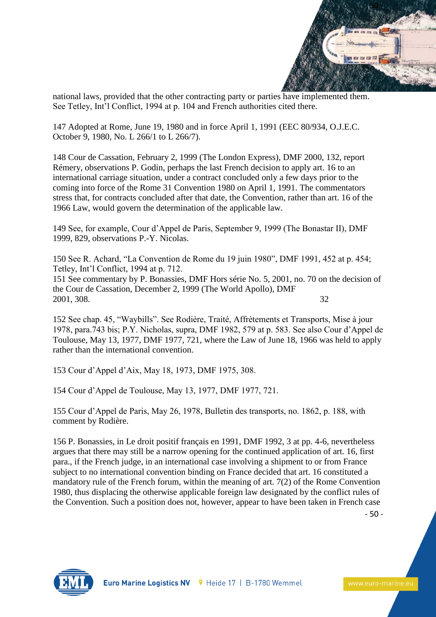

national laws, provided that the other contracting party or parties have implemented them. See Tetley, Int'l Conflict, 1994 at p. 104 and French authorities cited there.

147 Adopted at Rome, June 19, 1980 and in force April 1, 1991 (EEC 80/934, O.J.E.C. October 9, 1980, No. L 266/1 to L 266/7).

148 Cour de Cassation, February 2, 1999 (The London Express), DMF 2000, 132, report Rémery, observations P. Godin, perhaps the last French decision to apply art. 16 to an international carriage situation, under a contract concluded only a few days prior to the coming into force of the Rome 31 Convention 1980 on April 1, 1991. The commentators stress that, for contracts concluded after that date, the Convention, rather than art. 16 of the 1966 Law, would govern the determination of the applicable law.

149 See, for example, Cour d'Appel de Paris, September 9, 1999 (The Bonastar II), DMF 1999, 829, observations P.-Y. Nicolas.

150 See R. Achard, "La Convention de Rome du 19 juin 1980", DMF 1991, 452 at p. 454; Tetley, Int'l Conflict, 1994 at p. 712. 151 See commentary by P. Bonassies, DMF Hors série No. 5, 2001, no. 70 on the decision of the Cour de Cassation, December 2, 1999 (The World Apollo), DMF 2001, 308. 32

152 See chap. 45, "Waybills". See Rodière, Traité, Affrètements et Transports, Mise à jour 1978, para.743 bis; P.Y. Nicholas, supra, DMF 1982, 579 at p. 583. See also Cour d'Appel de Toulouse, May 13, 1977, DMF 1977, 721, where the Law of June 18, 1966 was held to apply rather than the international convention.

153 Cour d'Appel d'Aix, May 18, 1973, DMF 1975, 308.

154 Cour d'Appel de Toulouse, May 13, 1977, DMF 1977, 721.

155 Cour d'Appel de Paris, May 26, 1978, Bulletin des transports, no. 1862, p. 188, with comment by Rodière.

156 P. Bonassies, in Le droit positif français en 1991, DMF 1992, 3 at pp. 4-6, nevertheless argues that there may still be a narrow opening for the continued application of art. 16, first para., if the French judge, in an international case involving a shipment to or from France subject to no international convention binding on France decided that art. 16 constituted a mandatory rule of the French forum, within the meaning of art. 7(2) of the Rome Convention 1980, thus displacing the otherwise applicable foreign law designated by the conflict rules of the Convention. Such a position does not, however, appear to have been taken in French case

- 50 -

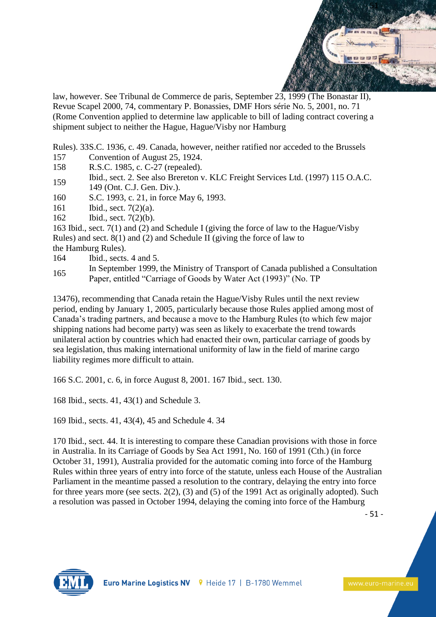

law, however. See Tribunal de Commerce de paris, September 23, 1999 (The Bonastar II), Revue Scapel 2000, 74, commentary P. Bonassies, DMF Hors série No. 5, 2001, no. 71 (Rome Convention applied to determine law applicable to bill of lading contract covering a shipment subject to neither the Hague, Hague/Visby nor Hamburg

Rules). 33S.C. 1936, c. 49. Canada, however, neither ratified nor acceded to the Brussels

- 157 Convention of August 25, 1924.
- 158 R.S.C. 1985, c. C-27 (repealed).
- <sup>159</sup> Ibid., sect. 2. See also Brereton v. KLC Freight Services Ltd. (1997) 115 O.A.C. 149 (Ont. C.J. Gen. Div.).
- 160 S.C. 1993, c. 21, in force May 6, 1993.
- 161 Ibid., sect. 7(2)(a).
- 162 Ibid., sect. 7(2)(b).

163 Ibid., sect. 7(1) and (2) and Schedule I (giving the force of law to the Hague/Visby Rules) and sect. 8(1) and (2) and Schedule II (giving the force of law to the Hamburg Rules).

- 164 Ibid., sects. 4 and 5.
- 165 In September 1999, the Ministry of Transport of Canada published a Consultation Paper, entitled "Carriage of Goods by Water Act (1993)" (No. TP

13476), recommending that Canada retain the Hague/Visby Rules until the next review period, ending by January 1, 2005, particularly because those Rules applied among most of Canada's trading partners, and because a move to the Hamburg Rules (to which few major shipping nations had become party) was seen as likely to exacerbate the trend towards unilateral action by countries which had enacted their own, particular carriage of goods by sea legislation, thus making international uniformity of law in the field of marine cargo liability regimes more difficult to attain.

166 S.C. 2001, c. 6, in force August 8, 2001. 167 Ibid., sect. 130.

168 Ibid., sects. 41, 43(1) and Schedule 3.

169 Ibid., sects. 41, 43(4), 45 and Schedule 4. 34

170 Ibid., sect. 44. It is interesting to compare these Canadian provisions with those in force in Australia. In its Carriage of Goods by Sea Act 1991, No. 160 of 1991 (Cth.) (in force October 31, 1991), Australia provided for the automatic coming into force of the Hamburg Rules within three years of entry into force of the statute, unless each House of the Australian Parliament in the meantime passed a resolution to the contrary, delaying the entry into force for three years more (see sects. 2(2), (3) and (5) of the 1991 Act as originally adopted). Such a resolution was passed in October 1994, delaying the coming into force of the Hamburg

- 51 -

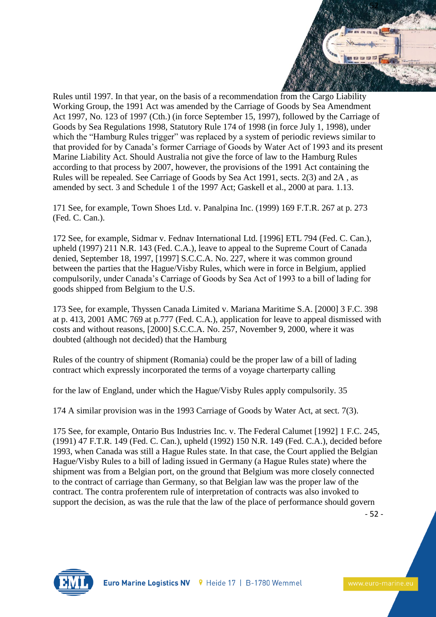

Rules until 1997. In that year, on the basis of a recommendation from the Cargo Liability Working Group, the 1991 Act was amended by the Carriage of Goods by Sea Amendment Act 1997, No. 123 of 1997 (Cth.) (in force September 15, 1997), followed by the Carriage of Goods by Sea Regulations 1998, Statutory Rule 174 of 1998 (in force July 1, 1998), under which the "Hamburg Rules trigger" was replaced by a system of periodic reviews similar to that provided for by Canada's former Carriage of Goods by Water Act of 1993 and its present Marine Liability Act. Should Australia not give the force of law to the Hamburg Rules according to that process by 2007, however, the provisions of the 1991 Act containing the Rules will be repealed. See Carriage of Goods by Sea Act 1991, sects. 2(3) and 2A , as amended by sect. 3 and Schedule 1 of the 1997 Act; Gaskell et al., 2000 at para. 1.13.

171 See, for example, Town Shoes Ltd. v. Panalpina Inc. (1999) 169 F.T.R. 267 at p. 273 (Fed. C. Can.).

172 See, for example, Sidmar v. Fednav International Ltd. [1996] ETL 794 (Fed. C. Can.), upheld (1997) 211 N.R. 143 (Fed. C.A.), leave to appeal to the Supreme Court of Canada denied, September 18, 1997, [1997] S.C.C.A. No. 227, where it was common ground between the parties that the Hague/Visby Rules, which were in force in Belgium, applied compulsorily, under Canada's Carriage of Goods by Sea Act of 1993 to a bill of lading for goods shipped from Belgium to the U.S.

173 See, for example, Thyssen Canada Limited v. Mariana Maritime S.A. [2000] 3 F.C. 398 at p. 413, 2001 AMC 769 at p.777 (Fed. C.A.), application for leave to appeal dismissed with costs and without reasons, [2000] S.C.C.A. No. 257, November 9, 2000, where it was doubted (although not decided) that the Hamburg

Rules of the country of shipment (Romania) could be the proper law of a bill of lading contract which expressly incorporated the terms of a voyage charterparty calling

for the law of England, under which the Hague/Visby Rules apply compulsorily. 35

174 A similar provision was in the 1993 Carriage of Goods by Water Act, at sect. 7(3).

175 See, for example, Ontario Bus Industries Inc. v. The Federal Calumet [1992] 1 F.C. 245, (1991) 47 F.T.R. 149 (Fed. C. Can.), upheld (1992) 150 N.R. 149 (Fed. C.A.), decided before 1993, when Canada was still a Hague Rules state. In that case, the Court applied the Belgian Hague/Visby Rules to a bill of lading issued in Germany (a Hague Rules state) where the shipment was from a Belgian port, on the ground that Belgium was more closely connected to the contract of carriage than Germany, so that Belgian law was the proper law of the contract. The contra proferentem rule of interpretation of contracts was also invoked to support the decision, as was the rule that the law of the place of performance should govern

- 52 -

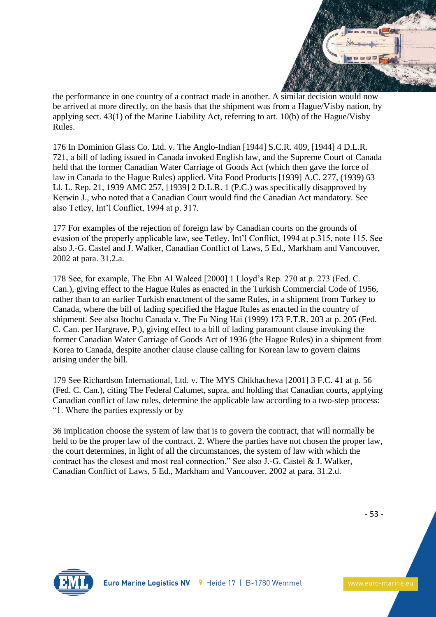

the performance in one country of a contract made in another. A similar decision would now be arrived at more directly, on the basis that the shipment was from a Hague/Visby nation, by applying sect. 43(1) of the Marine Liability Act, referring to art. 10(b) of the Hague/Visby Rules.

176 In Dominion Glass Co. Ltd. v. The Anglo-Indian [1944] S.C.R. 409, [1944] 4 D.L.R. 721, a bill of lading issued in Canada invoked English law, and the Supreme Court of Canada held that the former Canadian Water Carriage of Goods Act (which then gave the force of law in Canada to the Hague Rules) applied. Vita Food Products [1939] A.C. 277, (1939) 63 Ll. L. Rep. 21, 1939 AMC 257, [1939] 2 D.L.R. 1 (P.C.) was specifically disapproved by Kerwin J., who noted that a Canadian Court would find the Canadian Act mandatory. See also Tetley, Int'l Conflict, 1994 at p. 317.

177 For examples of the rejection of foreign law by Canadian courts on the grounds of evasion of the properly applicable law, see Tetley, Int'l Conflict, 1994 at p.315, note 115. See also J.-G. Castel and J. Walker, Canadian Conflict of Laws, 5 Ed., Markham and Vancouver, 2002 at para. 31.2.a.

178 See, for example, The Ebn Al Waleed [2000] 1 Lloyd's Rep. 270 at p. 273 (Fed. C. Can.), giving effect to the Hague Rules as enacted in the Turkish Commercial Code of 1956, rather than to an earlier Turkish enactment of the same Rules, in a shipment from Turkey to Canada, where the bill of lading specified the Hague Rules as enacted in the country of shipment. See also Itochu Canada v. The Fu Ning Hai (1999) 173 F.T.R. 203 at p. 205 (Fed. C. Can. per Hargrave, P.), giving effect to a bill of lading paramount clause invoking the former Canadian Water Carriage of Goods Act of 1936 (the Hague Rules) in a shipment from Korea to Canada, despite another clause clause calling for Korean law to govern claims arising under the bill.

179 See Richardson International, Ltd. v. The MYS Chikhacheva [2001] 3 F.C. 41 at p. 56 (Fed. C. Can.), citing The Federal Calumet, supra, and holding that Canadian courts, applying Canadian conflict of law rules, determine the applicable law according to a two-step process: "1. Where the parties expressly or by

36 implication choose the system of law that is to govern the contract, that will normally be held to be the proper law of the contract. 2. Where the parties have not chosen the proper law, the court determines, in light of all the circumstances, the system of law with which the contract has the closest and most real connection." See also J.-G. Castel & J. Walker, Canadian Conflict of Laws, 5 Ed., Markham and Vancouver, 2002 at para. 31.2.d.

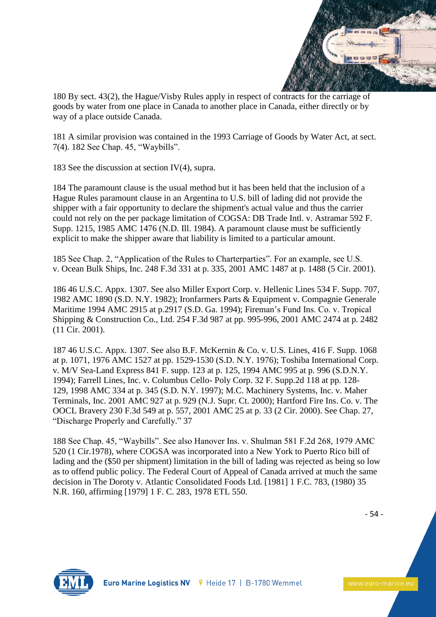

180 By sect. 43(2), the Hague/Visby Rules apply in respect of contracts for the carriage of goods by water from one place in Canada to another place in Canada, either directly or by way of a place outside Canada.

181 A similar provision was contained in the 1993 Carriage of Goods by Water Act, at sect. 7(4). 182 See Chap. 45, "Waybills".

183 See the discussion at section  $IV(4)$ , supra.

184 The paramount clause is the usual method but it has been held that the inclusion of a Hague Rules paramount clause in an Argentina to U.S. bill of lading did not provide the shipper with a fair opportunity to declare the shipment's actual value and thus the carrier could not rely on the per package limitation of COGSA: DB Trade Intl. v. Astramar 592 F. Supp. 1215, 1985 AMC 1476 (N.D. Ill. 1984). A paramount clause must be sufficiently explicit to make the shipper aware that liability is limited to a particular amount.

185 See Chap. 2, "Application of the Rules to Charterparties". For an example, see U.S. v. Ocean Bulk Ships, Inc. 248 F.3d 331 at p. 335, 2001 AMC 1487 at p. 1488 (5 Cir. 2001).

186 46 U.S.C. Appx. 1307. See also Miller Export Corp. v. Hellenic Lines 534 F. Supp. 707, 1982 AMC 1890 (S.D. N.Y. 1982); Ironfarmers Parts & Equipment v. Compagnie Generale Maritime 1994 AMC 2915 at p.2917 (S.D. Ga. 1994); Fireman's Fund Ins. Co. v. Tropical Shipping & Construction Co., Ltd. 254 F.3d 987 at pp. 995-996, 2001 AMC 2474 at p. 2482 (11 Cir. 2001).

187 46 U.S.C. Appx. 1307. See also B.F. McKernin & Co. v. U.S. Lines, 416 F. Supp. 1068 at p. 1071, 1976 AMC 1527 at pp. 1529-1530 (S.D. N.Y. 1976); Toshiba International Corp. v. M/V Sea-Land Express 841 F. supp. 123 at p. 125, 1994 AMC 995 at p. 996 (S.D.N.Y. 1994); Farrell Lines, Inc. v. Columbus Cello- Poly Corp. 32 F. Supp.2d 118 at pp. 128- 129, 1998 AMC 334 at p. 345 (S.D. N.Y. 1997); M.C. Machinery Systems, Inc. v. Maher Terminals, Inc. 2001 AMC 927 at p. 929 (N.J. Supr. Ct. 2000); Hartford Fire Ins. Co. v. The OOCL Bravery 230 F.3d 549 at p. 557, 2001 AMC 25 at p. 33 (2 Cir. 2000). See Chap. 27, "Discharge Properly and Carefully." 37

188 See Chap. 45, "Waybills". See also Hanover Ins. v. Shulman 581 F.2d 268, 1979 AMC 520 (1 Cir.1978), where COGSA was incorporated into a New York to Puerto Rico bill of lading and the (\$50 per shipment) limitation in the bill of lading was rejected as being so low as to offend public policy. The Federal Court of Appeal of Canada arrived at much the same decision in The Doroty v. Atlantic Consolidated Foods Ltd. [1981] 1 F.C. 783, (1980) 35 N.R. 160, affirming [1979] 1 F. C. 283, 1978 ETL 550.

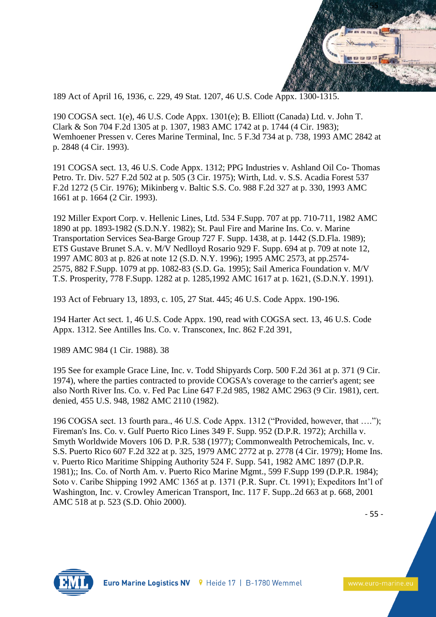

189 Act of April 16, 1936, c. 229, 49 Stat. 1207, 46 U.S. Code Appx. 1300-1315.

190 COGSA sect. 1(e), 46 U.S. Code Appx. 1301(e); B. Elliott (Canada) Ltd. v. John T. Clark & Son 704 F.2d 1305 at p. 1307, 1983 AMC 1742 at p. 1744 (4 Cir. 1983); Wemhoener Pressen v. Ceres Marine Terminal, Inc. 5 F.3d 734 at p. 738, 1993 AMC 2842 at p. 2848 (4 Cir. 1993).

191 COGSA sect. 13, 46 U.S. Code Appx. 1312; PPG Industries v. Ashland Oil Co- Thomas Petro. Tr. Div. 527 F.2d 502 at p. 505 (3 Cir. 1975); Wirth, Ltd. v. S.S. Acadia Forest 537 F.2d 1272 (5 Cir. 1976); Mikinberg v. Baltic S.S. Co. 988 F.2d 327 at p. 330, 1993 AMC 1661 at p. 1664 (2 Cir. 1993).

192 Miller Export Corp. v. Hellenic Lines, Ltd. 534 F.Supp. 707 at pp. 710-711, 1982 AMC 1890 at pp. 1893-1982 (S.D.N.Y. 1982); St. Paul Fire and Marine Ins. Co. v. Marine Transportation Services Sea-Barge Group 727 F. Supp. 1438, at p. 1442 (S.D.Fla. 1989); ETS Gustave Brunet S.A. v. M/V Nedlloyd Rosario 929 F. Supp. 694 at p. 709 at note 12, 1997 AMC 803 at p. 826 at note 12 (S.D. N.Y. 1996); 1995 AMC 2573, at pp.2574- 2575, 882 F.Supp. 1079 at pp. 1082-83 (S.D. Ga. 1995); Sail America Foundation v. M/V T.S. Prosperity, 778 F.Supp. 1282 at p. 1285,1992 AMC 1617 at p. 1621, (S.D.N.Y. 1991).

193 Act of February 13, 1893, c. 105, 27 Stat. 445; 46 U.S. Code Appx. 190-196.

194 Harter Act sect. 1, 46 U.S. Code Appx. 190, read with COGSA sect. 13, 46 U.S. Code Appx. 1312. See Antilles Ins. Co. v. Transconex, Inc. 862 F.2d 391,

1989 AMC 984 (1 Cir. 1988). 38

195 See for example Grace Line, Inc. v. Todd Shipyards Corp. 500 F.2d 361 at p. 371 (9 Cir. 1974), where the parties contracted to provide COGSA's coverage to the carrier's agent; see also North River Ins. Co. v. Fed Pac Line 647 F.2d 985, 1982 AMC 2963 (9 Cir. 1981), cert. denied, 455 U.S. 948, 1982 AMC 2110 (1982).

196 COGSA sect. 13 fourth para., 46 U.S. Code Appx. 1312 ("Provided, however, that …."); Fireman's Ins. Co. v. Gulf Puerto Rico Lines 349 F. Supp. 952 (D.P.R. 1972); Archilla v. Smyth Worldwide Movers 106 D. P.R. 538 (1977); Commonwealth Petrochemicals, Inc. v. S.S. Puerto Rico 607 F.2d 322 at p. 325, 1979 AMC 2772 at p. 2778 (4 Cir. 1979); Home Ins. v. Puerto Rico Maritime Shipping Authority 524 F. Supp. 541, 1982 AMC 1897 (D.P.R. 1981);; Ins. Co. of North Am. v. Puerto Rico Marine Mgmt., 599 F.Supp 199 (D.P.R. 1984); Soto v. Caribe Shipping 1992 AMC 1365 at p. 1371 (P.R. Supr. Ct. 1991); Expeditors Int'l of Washington, Inc. v. Crowley American Transport, Inc. 117 F. Supp..2d 663 at p. 668, 2001 AMC 518 at p. 523 (S.D. Ohio 2000).

- 55 -

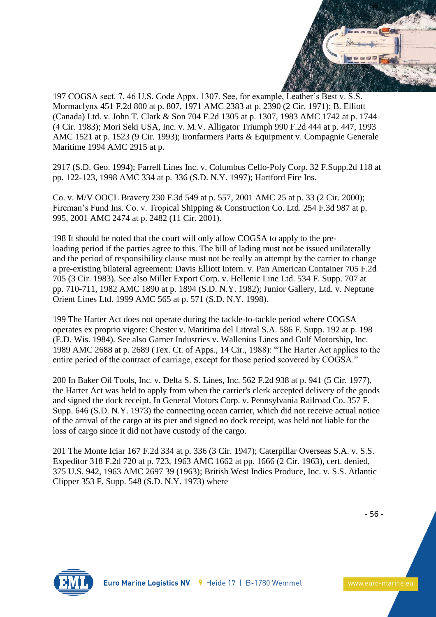

197 COGSA sect. 7, 46 U.S. Code Appx. 1307. See, for example, Leather's Best v. S.S. Mormaclynx 451 F.2d 800 at p. 807, 1971 AMC 2383 at p. 2390 (2 Cir. 1971); B. Elliott (Canada) Ltd. v. John T. Clark & Son 704 F.2d 1305 at p. 1307, 1983 AMC 1742 at p. 1744 (4 Cir. 1983); Mori Seki USA, Inc. v. M.V. Alligator Triumph 990 F.2d 444 at p. 447, 1993 AMC 1521 at p. 1523 (9 Cir. 1993); Ironfarmers Parts & Equipment v. Compagnie Generale Maritime 1994 AMC 2915 at p.

2917 (S.D. Geo. 1994); Farrell Lines Inc. v. Columbus Cello-Poly Corp. 32 F.Supp.2d 118 at pp. 122-123, 1998 AMC 334 at p. 336 (S.D. N.Y. 1997); Hartford Fire Ins.

Co. v. M/V OOCL Bravery 230 F.3d 549 at p. 557, 2001 AMC 25 at p. 33 (2 Cir. 2000); Fireman's Fund Ins. Co. v. Tropical Shipping & Construction Co. Ltd. 254 F.3d 987 at p. 995, 2001 AMC 2474 at p. 2482 (11 Cir. 2001).

198 It should be noted that the court will only allow COGSA to apply to the preloading period if the parties agree to this. The bill of lading must not be issued unilaterally and the period of responsibility clause must not be really an attempt by the carrier to change a pre-existing bilateral agreement: Davis Elliott Intern. v. Pan American Container 705 F.2d 705 (3 Cir. 1983). See also Miller Export Corp. v. Hellenic Line Ltd. 534 F. Supp. 707 at pp. 710-711, 1982 AMC 1890 at p. 1894 (S.D. N.Y. 1982); Junior Gallery, Ltd. v. Neptune Orient Lines Ltd. 1999 AMC 565 at p. 571 (S.D. N.Y. 1998).

199 The Harter Act does not operate during the tackle-to-tackle period where COGSA operates ex proprio vigore: Chester v. Maritima del Litoral S.A. 586 F. Supp. 192 at p. 198 (E.D. Wis. 1984). See also Garner Industries v. Wallenius Lines and Gulf Motorship, Inc. 1989 AMC 2688 at p. 2689 (Tex. Ct. of Apps., 14 Cir., 1988): "The Harter Act applies to the entire period of the contract of carriage, except for those period scovered by COGSA."

200 In Baker Oil Tools, Inc. v. Delta S. S. Lines, Inc. 562 F.2d 938 at p. 941 (5 Cir. 1977), the Harter Act was held to apply from when the carrier's clerk accepted delivery of the goods and signed the dock receipt. In General Motors Corp. v. Pennsylvania Railroad Co. 357 F. Supp. 646 (S.D. N.Y. 1973) the connecting ocean carrier, which did not receive actual notice of the arrival of the cargo at its pier and signed no dock receipt, was held not liable for the loss of cargo since it did not have custody of the cargo.

201 The Monte Iciar 167 F.2d 334 at p. 336 (3 Cir. 1947); Caterpillar Overseas S.A. v. S.S. Expeditor 318 F.2d 720 at p. 723, 1963 AMC 1662 at pp. 1666 (2 Cir. 1963), cert. denied, 375 U.S. 942, 1963 AMC 2697 39 (1963); British West Indies Produce, Inc. v. S.S. Atlantic Clipper 353 F. Supp. 548 (S.D. N.Y. 1973) where

- 56 -

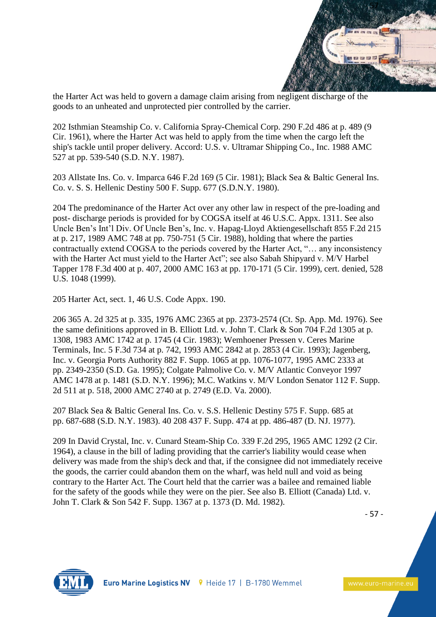

the Harter Act was held to govern a damage claim arising from negligent discharge of the goods to an unheated and unprotected pier controlled by the carrier.

202 Isthmian Steamship Co. v. California Spray-Chemical Corp. 290 F.2d 486 at p. 489 (9 Cir. 1961), where the Harter Act was held to apply from the time when the cargo left the ship's tackle until proper delivery. Accord: U.S. v. Ultramar Shipping Co., Inc. 1988 AMC 527 at pp. 539-540 (S.D. N.Y. 1987).

203 Allstate Ins. Co. v. Imparca 646 F.2d 169 (5 Cir. 1981); Black Sea & Baltic General Ins. Co. v. S. S. Hellenic Destiny 500 F. Supp. 677 (S.D.N.Y. 1980).

204 The predominance of the Harter Act over any other law in respect of the pre-loading and post- discharge periods is provided for by COGSA itself at 46 U.S.C. Appx. 1311. See also Uncle Ben's Int'l Div. Of Uncle Ben's, Inc. v. Hapag-Lloyd Aktiengesellschaft 855 F.2d 215 at p. 217, 1989 AMC 748 at pp. 750-751 (5 Cir. 1988), holding that where the parties contractually extend COGSA to the periods covered by the Harter Act, "… any inconsistency with the Harter Act must yield to the Harter Act"; see also Sabah Shipyard v. M/V Harbel Tapper 178 F.3d 400 at p. 407, 2000 AMC 163 at pp. 170-171 (5 Cir. 1999), cert. denied, 528 U.S. 1048 (1999).

205 Harter Act, sect. 1, 46 U.S. Code Appx. 190.

206 365 A. 2d 325 at p. 335, 1976 AMC 2365 at pp. 2373-2574 (Ct. Sp. App. Md. 1976). See the same definitions approved in B. Elliott Ltd. v. John T. Clark & Son 704 F.2d 1305 at p. 1308, 1983 AMC 1742 at p. 1745 (4 Cir. 1983); Wemhoener Pressen v. Ceres Marine Terminals, Inc. 5 F.3d 734 at p. 742, 1993 AMC 2842 at p. 2853 (4 Cir. 1993); Jagenberg, Inc. v. Georgia Ports Authority 882 F. Supp. 1065 at pp. 1076-1077, 1995 AMC 2333 at pp. 2349-2350 (S.D. Ga. 1995); Colgate Palmolive Co. v. M/V Atlantic Conveyor 1997 AMC 1478 at p. 1481 (S.D. N.Y. 1996); M.C. Watkins v. M/V London Senator 112 F. Supp. 2d 511 at p. 518, 2000 AMC 2740 at p. 2749 (E.D. Va. 2000).

207 Black Sea & Baltic General Ins. Co. v. S.S. Hellenic Destiny 575 F. Supp. 685 at pp. 687-688 (S.D. N.Y. 1983). 40 208 437 F. Supp. 474 at pp. 486-487 (D. NJ. 1977).

209 In David Crystal, Inc. v. Cunard Steam-Ship Co. 339 F.2d 295, 1965 AMC 1292 (2 Cir. 1964), a clause in the bill of lading providing that the carrier's liability would cease when delivery was made from the ship's deck and that, if the consignee did not immediately receive the goods, the carrier could abandon them on the wharf, was held null and void as being contrary to the Harter Act. The Court held that the carrier was a bailee and remained liable for the safety of the goods while they were on the pier. See also B. Elliott (Canada) Ltd. v. John T. Clark & Son 542 F. Supp. 1367 at p. 1373 (D. Md. 1982).

- 57 -

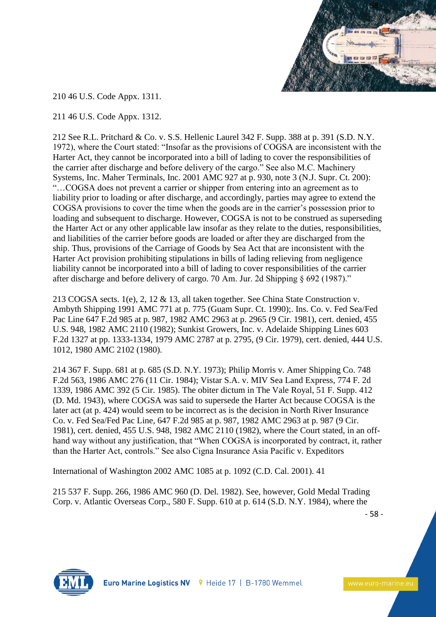

210 46 U.S. Code Appx. 1311.

211 46 U.S. Code Appx. 1312.

212 See R.L. Pritchard & Co. v. S.S. Hellenic Laurel 342 F. Supp. 388 at p. 391 (S.D. N.Y. 1972), where the Court stated: "Insofar as the provisions of COGSA are inconsistent with the Harter Act, they cannot be incorporated into a bill of lading to cover the responsibilities of the carrier after discharge and before delivery of the cargo." See also M.C. Machinery Systems, Inc. Maher Terminals, Inc. 2001 AMC 927 at p. 930, note 3 (N.J. Supr. Ct. 200): "…COGSA does not prevent a carrier or shipper from entering into an agreement as to liability prior to loading or after discharge, and accordingly, parties may agree to extend the COGSA provisions to cover the time when the goods are in the carrier's possession prior to loading and subsequent to discharge. However, COGSA is not to be construed as superseding the Harter Act or any other applicable law insofar as they relate to the duties, responsibilities, and liabilities of the carrier before goods are loaded or after they are discharged from the ship. Thus, provisions of the Carriage of Goods by Sea Act that are inconsistent with the Harter Act provision prohibiting stipulations in bills of lading relieving from negligence liability cannot be incorporated into a bill of lading to cover responsibilities of the carrier after discharge and before delivery of cargo. 70 Am. Jur. 2d Shipping § 692 (1987)."

213 COGSA sects. 1(e), 2, 12 & 13, all taken together. See China State Construction v. Ambyth Shipping 1991 AMC 771 at p. 775 (Guam Supr. Ct. 1990);. Ins. Co. v. Fed Sea/Fed Pac Line 647 F.2d 985 at p. 987, 1982 AMC 2963 at p. 2965 (9 Cir. 1981), cert. denied, 455 U.S. 948, 1982 AMC 2110 (1982); Sunkist Growers, Inc. v. Adelaide Shipping Lines 603 F.2d 1327 at pp. 1333-1334, 1979 AMC 2787 at p. 2795, (9 Cir. 1979), cert. denied, 444 U.S. 1012, 1980 AMC 2102 (1980).

214 367 F. Supp. 681 at p. 685 (S.D. N.Y. 1973); Philip Morris v. Amer Shipping Co. 748 F.2d 563, 1986 AMC 276 (11 Cir. 1984); Vistar S.A. v. MIV Sea Land Express, 774 F. 2d 1339, 1986 AMC 392 (5 Cir. 1985). The obiter dictum in The Vale Royal, 51 F. Supp. 412 (D. Md. 1943), where COGSA was said to supersede the Harter Act because COGSA is the later act (at p. 424) would seem to be incorrect as is the decision in North River Insurance Co. v. Fed Sea/Fed Pac Line, 647 F.2d 985 at p. 987, 1982 AMC 2963 at p. 987 (9 Cir. 1981), cert. denied, 455 U.S. 948, 1982 AMC 2110 (1982), where the Court stated, in an offhand way without any justification, that "When COGSA is incorporated by contract, it, rather than the Harter Act, controls." See also Cigna Insurance Asia Pacific v. Expeditors

International of Washington 2002 AMC 1085 at p. 1092 (C.D. Cal. 2001). 41

215 537 F. Supp. 266, 1986 AMC 960 (D. Del. 1982). See, however, Gold Medal Trading Corp. v. Atlantic Overseas Corp., 580 F. Supp. 610 at p. 614 (S.D. N.Y. 1984), where the

- 58 -

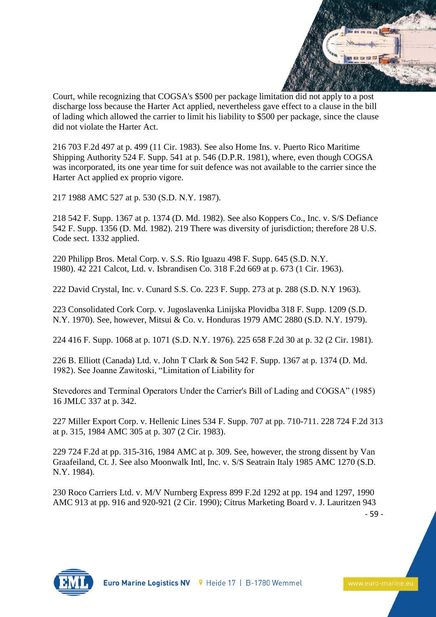

Court, while recognizing that COGSA's \$500 per package limitation did not apply to a post discharge loss because the Harter Act applied, nevertheless gave effect to a clause in the bill of lading which allowed the carrier to limit his liability to \$500 per package, since the clause did not violate the Harter Act.

216 703 F.2d 497 at p. 499 (11 Cir. 1983). See also Home Ins. v. Puerto Rico Maritime Shipping Authority 524 F. Supp. 541 at p. 546 (D.P.R. 1981), where, even though COGSA was incorporated, its one year time for suit defence was not available to the carrier since the Harter Act applied ex proprio vigore.

217 1988 AMC 527 at p. 530 (S.D. N.Y. 1987).

218 542 F. Supp. 1367 at p. 1374 (D. Md. 1982). See also Koppers Co., Inc. v. S/S Defiance 542 F. Supp. 1356 (D. Md. 1982). 219 There was diversity of jurisdiction; therefore 28 U.S. Code sect. 1332 applied.

220 Philipp Bros. Metal Corp. v. S.S. Rio Iguazu 498 F. Supp. 645 (S.D. N.Y. 1980). 42 221 Calcot, Ltd. v. Isbrandisen Co. 318 F.2d 669 at p. 673 (1 Cir. 1963).

222 David Crystal, Inc. v. Cunard S.S. Co. 223 F. Supp. 273 at p. 288 (S.D. N.Y 1963).

223 Consolidated Cork Corp. v. Jugoslavenka Linijska Plovidba 318 F. Supp. 1209 (S.D. N.Y. 1970). See, however, Mitsui & Co. v. Honduras 1979 AMC 2880 (S.D. N.Y. 1979).

224 416 F. Supp. 1068 at p. 1071 (S.D. N.Y. 1976). 225 658 F.2d 30 at p. 32 (2 Cir. 1981).

226 B. Elliott (Canada) Ltd. v. John T Clark & Son 542 F. Supp. 1367 at p. 1374 (D. Md. 1982). See Joanne Zawitoski, "Limitation of Liability for

Stevedores and Terminal Operators Under the Carrier's Bill of Lading and COGSA" (1985) 16 JMLC 337 at p. 342.

227 Miller Export Corp. v. Hellenic Lines 534 F. Supp. 707 at pp. 710-711. 228 724 F.2d 313 at p. 315, 1984 AMC 305 at p. 307 (2 Cir. 1983).

229 724 F.2d at pp. 315-316, 1984 AMC at p. 309. See, however, the strong dissent by Van Graafeiland, Ct. J. See also Moonwalk Intl, Inc. v. S/S Seatrain Italy 1985 AMC 1270 (S.D. N.Y. 1984).

230 Roco Carriers Ltd. v. M/V Nurnberg Express 899 F.2d 1292 at pp. 194 and 1297, 1990 AMC 913 at pp. 916 and 920-921 (2 Cir. 1990); Citrus Marketing Board v. J. Lauritzen 943

- 59 -

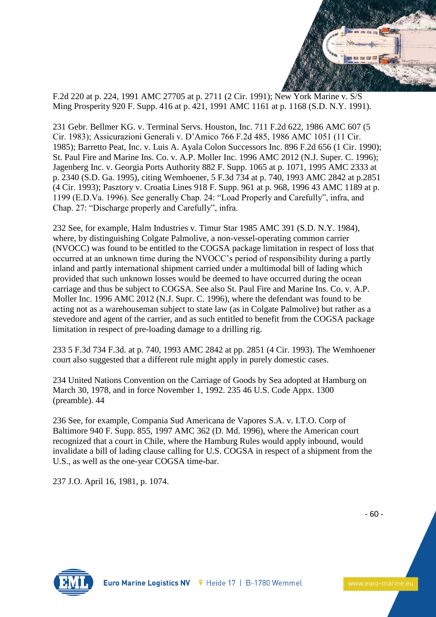

F.2d 220 at p. 224, 1991 AMC 27705 at p. 2711 (2 Cir. 1991); New York Marine v. S/S Ming Prosperity 920 F. Supp. 416 at p. 421, 1991 AMC 1161 at p. 1168 (S.D. N.Y. 1991).

231 Gebr. Bellmer KG. v. Terminal Servs. Houston, Inc. 711 F.2d 622, 1986 AMC 607 (5 Cir. 1983); Assicurazioni Generali v. D'Amico 766 F.2d 485, 1986 AMC 1051 (11 Cir. 1985); Barretto Peat, Inc. v. Luis A. Ayala Colon Successors Inc. 896 F.2d 656 (1 Cir. 1990); St. Paul Fire and Marine Ins. Co. v. A.P. Moller Inc. 1996 AMC 2012 (N.J. Super. C. 1996); Jagenberg Inc. v. Georgia Ports Authority 882 F. Supp. 1065 at p. 1071, 1995 AMC 2333 at p. 2340 (S.D. Ga. 1995), citing Wemhoener, 5 F.3d 734 at p. 740, 1993 AMC 2842 at p.2851 (4 Cir. 1993); Pasztory v. Croatia Lines 918 F. Supp. 961 at p. 968, 1996 43 AMC 1189 at p. 1199 (E.D.Va. 1996). See generally Chap. 24: "Load Properly and Carefully", infra, and Chap. 27: "Discharge properly and Carefully", infra.

232 See, for example, Halm Industries v. Timur Star 1985 AMC 391 (S.D. N.Y. 1984), where, by distinguishing Colgate Palmolive, a non-vessel-operating common carrier (NVOCC) was found to be entitled to the COGSA package limitation in respect of loss that occurred at an unknown time during the NVOCC's period of responsibility during a partly inland and partly international shipment carried under a multimodal bill of lading which provided that such unknown losses would be deemed to have occurred during the ocean carriage and thus be subject to COGSA. See also St. Paul Fire and Marine Ins. Co. v. A.P. Moller Inc. 1996 AMC 2012 (N.J. Supr. C. 1996), where the defendant was found to be acting not as a warehouseman subject to state law (as in Colgate Palmolive) but rather as a stevedore and agent of the carrier, and as such entitled to benefit from the COGSA package limitation in respect of pre-loading damage to a drilling rig.

233 5 F.3d 734 F.3d. at p. 740, 1993 AMC 2842 at pp. 2851 (4 Cir. 1993). The Wemhoener court also suggested that a different rule might apply in purely domestic cases.

234 United Nations Convention on the Carriage of Goods by Sea adopted at Hamburg on March 30, 1978, and in force November 1, 1992. 235 46 U.S. Code Appx. 1300 (preamble). 44

236 See, for example, Compania Sud Americana de Vapores S.A. v. I.T.O. Corp of Baltimore 940 F. Supp. 855, 1997 AMC 362 (D. Md. 1996), where the American court recognized that a court in Chile, where the Hamburg Rules would apply inbound, would invalidate a bill of lading clause calling for U.S. COGSA in respect of a shipment from the U.S., as well as the one-year COGSA time-bar.

237 J.O. April 16, 1981, p. 1074.

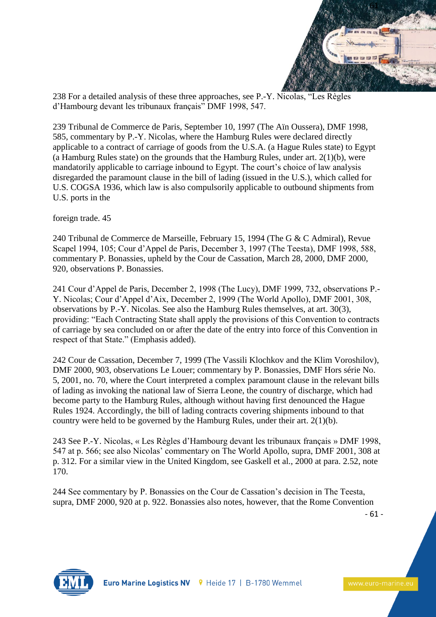

238 For a detailed analysis of these three approaches, see P.-Y. Nicolas, "Les Règles d'Hambourg devant les tribunaux français" DMF 1998, 547.

239 Tribunal de Commerce de Paris, September 10, 1997 (The Aïn Oussera), DMF 1998, 585, commentary by P.-Y. Nicolas, where the Hamburg Rules were declared directly applicable to a contract of carriage of goods from the U.S.A. (a Hague Rules state) to Egypt (a Hamburg Rules state) on the grounds that the Hamburg Rules, under art.  $2(1)(b)$ , were mandatorily applicable to carriage inbound to Egypt. The court's choice of law analysis disregarded the paramount clause in the bill of lading (issued in the U.S.), which called for U.S. COGSA 1936, which law is also compulsorily applicable to outbound shipments from U.S. ports in the

foreign trade. 45

240 Tribunal de Commerce de Marseille, February 15, 1994 (The G & C Admiral), Revue Scapel 1994, 105; Cour d'Appel de Paris, December 3, 1997 (The Teesta), DMF 1998, 588, commentary P. Bonassies, upheld by the Cour de Cassation, March 28, 2000, DMF 2000, 920, observations P. Bonassies.

241 Cour d'Appel de Paris, December 2, 1998 (The Lucy), DMF 1999, 732, observations P.- Y. Nicolas; Cour d'Appel d'Aix, December 2, 1999 (The World Apollo), DMF 2001, 308, observations by P.-Y. Nicolas. See also the Hamburg Rules themselves, at art. 30(3), providing: "Each Contracting State shall apply the provisions of this Convention to contracts of carriage by sea concluded on or after the date of the entry into force of this Convention in respect of that State." (Emphasis added).

242 Cour de Cassation, December 7, 1999 (The Vassili Klochkov and the Klim Voroshilov), DMF 2000, 903, observations Le Louer; commentary by P. Bonassies, DMF Hors série No. 5, 2001, no. 70, where the Court interpreted a complex paramount clause in the relevant bills of lading as invoking the national law of Sierra Leone, the country of discharge, which had become party to the Hamburg Rules, although without having first denounced the Hague Rules 1924. Accordingly, the bill of lading contracts covering shipments inbound to that country were held to be governed by the Hamburg Rules, under their art. 2(1)(b).

243 See P.-Y. Nicolas, « Les Règles d'Hambourg devant les tribunaux français » DMF 1998, 547 at p. 566; see also Nicolas' commentary on The World Apollo, supra, DMF 2001, 308 at p. 312. For a similar view in the United Kingdom, see Gaskell et al., 2000 at para. 2.52, note 170.

244 See commentary by P. Bonassies on the Cour de Cassation's decision in The Teesta, supra, DMF 2000, 920 at p. 922. Bonassies also notes, however, that the Rome Convention

- 61 -

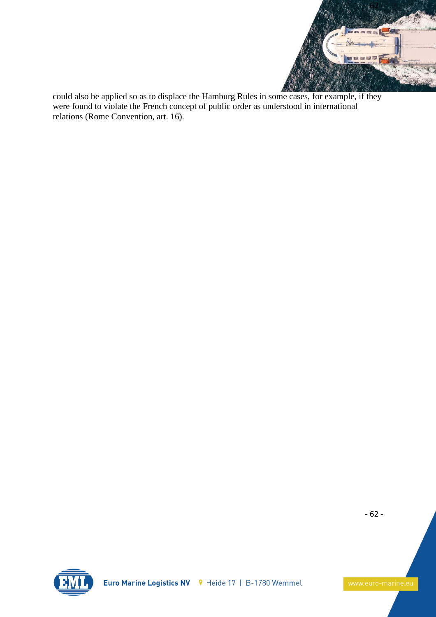

could also be applied so as to displace the Hamburg Rules in some cases, for example, if they were found to violate the French concept of public order as understood in international relations (Rome Convention, art. 16).

- 62 -